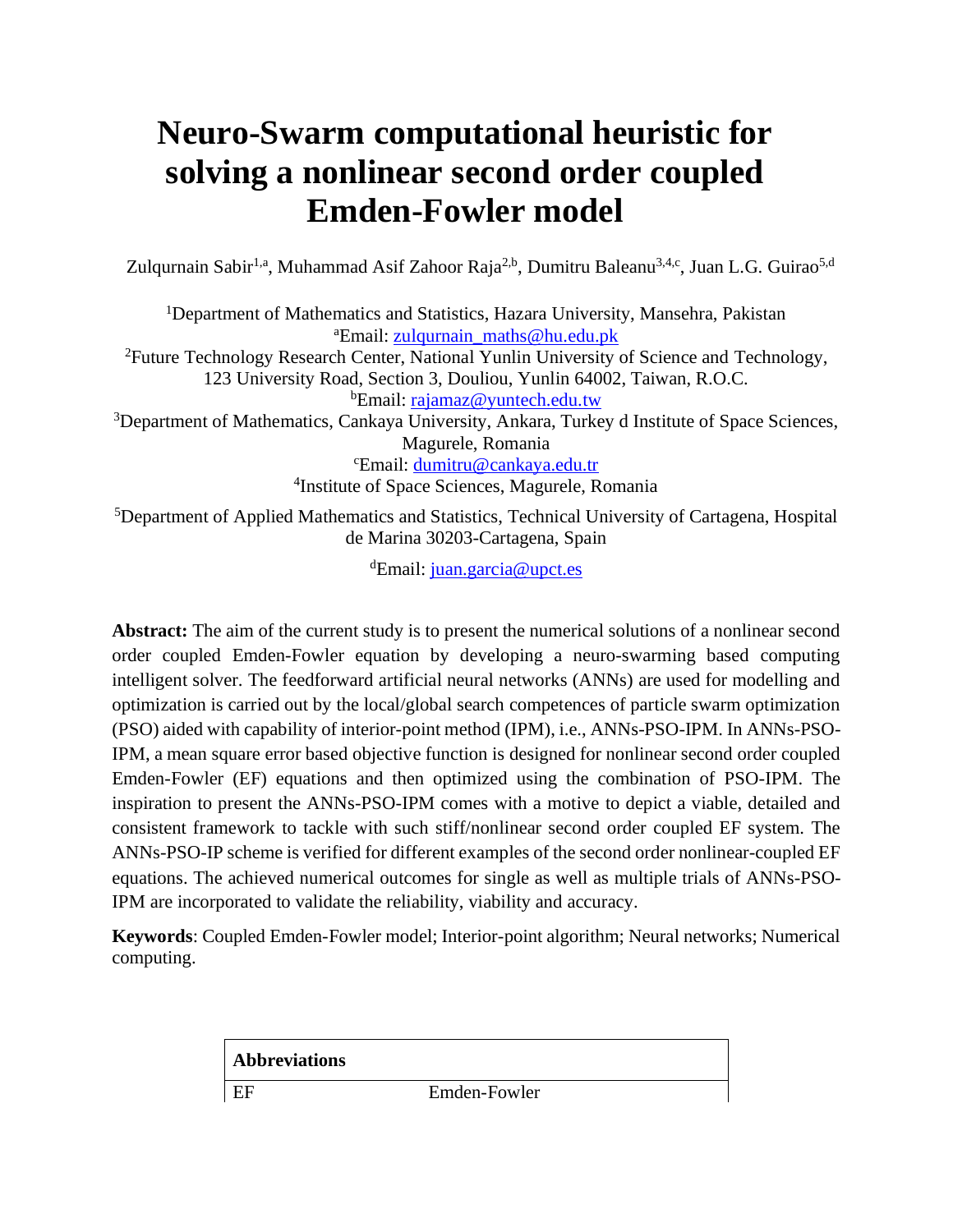# **Neuro-Swarm computational heuristic for solving a nonlinear second order coupled Emden-Fowler model**

Zulqurnain Sabir<sup>1,a</sup>, Muhammad Asif Zahoor Raja<sup>2,b</sup>, Dumitru Baleanu<sup>3,4,c</sup>, Juan L.G. Guirao<sup>5,d</sup>

<sup>1</sup>Department of Mathematics and Statistics, Hazara University, Mansehra, Pakistan <sup>a</sup>Email: [zulqurnain\\_maths@hu.edu.pk](mailto:zulqurnain_maths@hu.edu.pk)

<sup>2</sup>Future Technology Research Center, National Yunlin University of Science and Technology, 123 University Road, Section 3, Douliou, Yunlin 64002, Taiwan, R.O.C. <sup>b</sup>Email: [rajamaz@yuntech.edu.tw](mailto:rajamaz@yuntech.edu.tw)

<sup>3</sup>Department of Mathematics, Cankaya University, Ankara, Turkey d Institute of Space Sciences, Magurele, Romania

<sup>c</sup>Email: [dumitru@cankaya.edu.tr](mailto:dumitru@cankaya.edu.tr) 4 Institute of Space Sciences, Magurele, Romania

<sup>5</sup>Department of Applied Mathematics and Statistics, Technical University of Cartagena, Hospital de Marina 30203-Cartagena, Spain

<sup>d</sup>Email: [juan.garcia@upct.es](mailto:juan.garcia@upct.es)

Abstract: The aim of the current study is to present the numerical solutions of a nonlinear second order coupled Emden-Fowler equation by developing a neuro-swarming based computing intelligent solver. The feedforward artificial neural networks (ANNs) are used for modelling and optimization is carried out by the local/global search competences of particle swarm optimization (PSO) aided with capability of interior-point method (IPM), i.e., ANNs-PSO-IPM. In ANNs-PSO-IPM, a mean square error based objective function is designed for nonlinear second order coupled Emden-Fowler (EF) equations and then optimized using the combination of PSO-IPM. The inspiration to present the ANNs-PSO-IPM comes with a motive to depict a viable, detailed and consistent framework to tackle with such stiff/nonlinear second order coupled EF system. The ANNs-PSO-IP scheme is verified for different examples of the second order nonlinear-coupled EF equations. The achieved numerical outcomes for single as well as multiple trials of ANNs-PSO-IPM are incorporated to validate the reliability, viability and accuracy.

**Keywords**: Coupled Emden-Fowler model; Interior-point algorithm; Neural networks; Numerical computing.

| <b>Abbreviations</b> |              |
|----------------------|--------------|
| - EF                 | Emden-Fowler |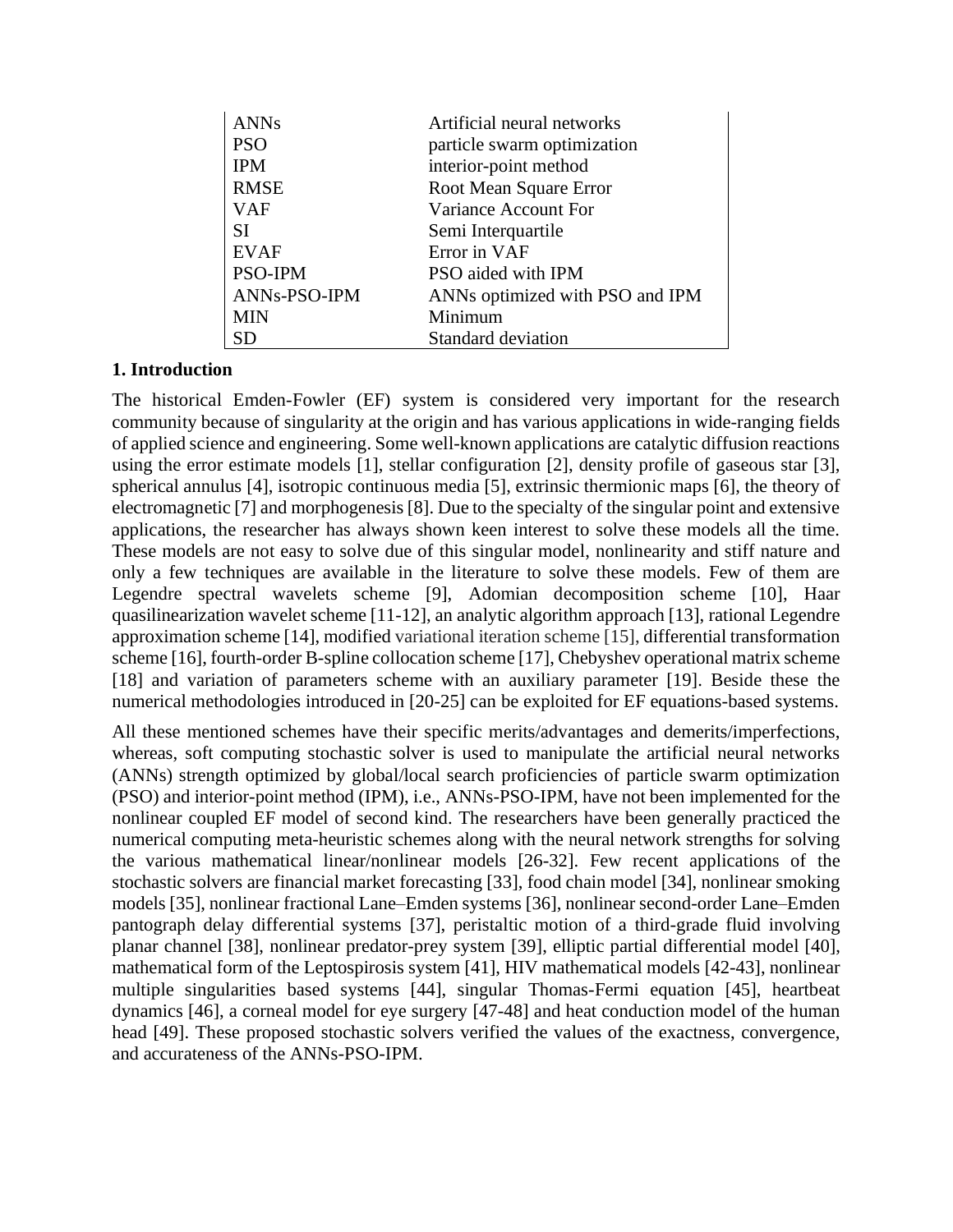| <b>ANNs</b>  | Artificial neural networks      |
|--------------|---------------------------------|
| <b>PSO</b>   | particle swarm optimization     |
| <b>IPM</b>   | interior-point method           |
| <b>RMSE</b>  | Root Mean Square Error          |
| <b>VAF</b>   | Variance Account For            |
| <b>SI</b>    | Semi Interquartile              |
| <b>EVAF</b>  | Error in VAF                    |
| PSO-IPM      | PSO aided with IPM              |
| ANNs-PSO-IPM | ANNs optimized with PSO and IPM |
| <b>MIN</b>   | Minimum                         |
| SD           | Standard deviation              |

## **1. Introduction**

The historical Emden-Fowler (EF) system is considered very important for the research community because of singularity at the origin and has various applications in wide-ranging fields of applied science and engineering. Some well-known applications are catalytic diffusion reactions using the error estimate models [1], stellar configuration [2], density profile of gaseous star [3], spherical annulus [4], isotropic continuous media [5], extrinsic thermionic maps [6], the theory of electromagnetic [7] and morphogenesis [8]. Due to the specialty of the singular point and extensive applications, the researcher has always shown keen interest to solve these models all the time. These models are not easy to solve due of this singular model, nonlinearity and stiff nature and only a few techniques are available in the literature to solve these models. Few of them are Legendre spectral wavelets scheme [9], Adomian decomposition scheme [10], Haar quasilinearization wavelet scheme [11-12], an analytic algorithm approach [13], rational Legendre approximation scheme [14], modified variational iteration scheme [15], differential transformation scheme [16], fourth-order B-spline collocation scheme [17], Chebyshev operational matrix scheme [18] and variation of parameters scheme with an auxiliary parameter [19]. Beside these the numerical methodologies introduced in [20-25] can be exploited for EF equations-based systems.

All these mentioned schemes have their specific merits/advantages and demerits/imperfections, whereas, soft computing stochastic solver is used to manipulate the artificial neural networks (ANNs) strength optimized by global/local search proficiencies of particle swarm optimization (PSO) and interior-point method (IPM), i.e., ANNs-PSO-IPM, have not been implemented for the nonlinear coupled EF model of second kind. The researchers have been generally practiced the numerical computing meta-heuristic schemes along with the neural network strengths for solving the various mathematical linear/nonlinear models [26-32]. Few recent applications of the stochastic solvers are financial market forecasting [33], food chain model [34], nonlinear smoking models [35], nonlinear fractional Lane–Emden systems [36], nonlinear second-order Lane–Emden pantograph delay differential systems [37], peristaltic motion of a third-grade fluid involving planar channel [38], nonlinear predator-prey system [39], elliptic partial differential model [40], mathematical form of the Leptospirosis system [41], HIV mathematical models [42-43], nonlinear multiple singularities based systems [44], singular Thomas-Fermi equation [45], heartbeat dynamics [46], a corneal model for eye surgery [47-48] and heat conduction model of the human head [49]. These proposed stochastic solvers verified the values of the exactness, convergence, and accurateness of the ANNs-PSO-IPM.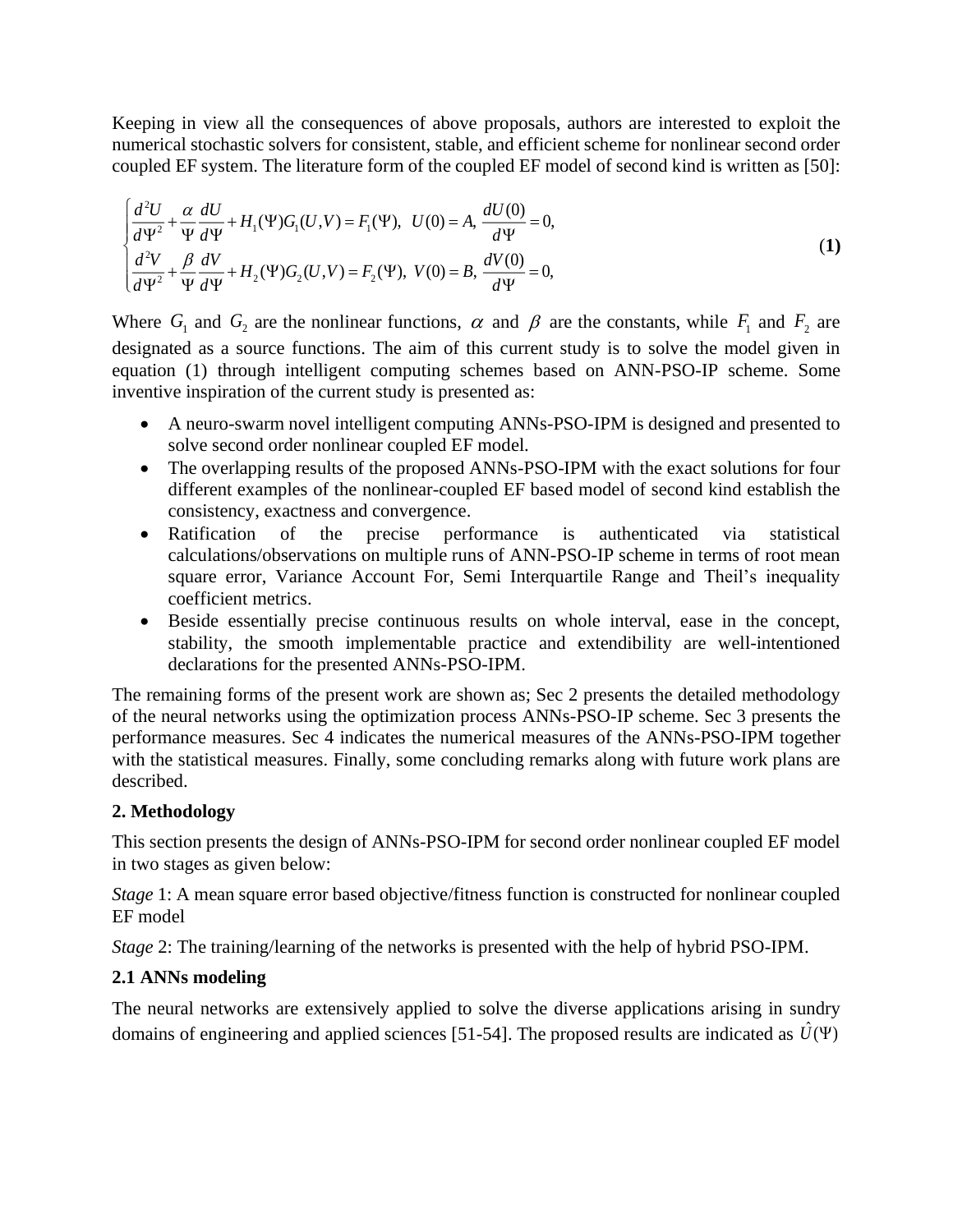Keeping in view all the consequences of above proposals, authors are interested to exploit the numerical stochastic solvers for consistent, stable, and efficient scheme for nonlinear second order coupled EF system. The literature form of the coupled EF model of second kind is written as [50]:

$$
\begin{cases}\n\frac{d^2U}{d\Psi^2} + \frac{\alpha}{\Psi} \frac{dU}{d\Psi} + H_1(\Psi)G_1(U,V) = F_1(\Psi), & U(0) = A, \frac{dU(0)}{d\Psi} = 0, \\
\frac{d^2V}{d\Psi^2} + \frac{\beta}{\Psi} \frac{dV}{d\Psi} + H_2(\Psi)G_2(U,V) = F_2(\Psi), & V(0) = B, \frac{dV(0)}{d\Psi} = 0,\n\end{cases}
$$
\n(1)

Where  $G_1$  and  $G_2$  are the nonlinear functions,  $\alpha$  and  $\beta$  are the constants, while  $F_1$  and  $F_2$  are designated as a source functions. The aim of this current study is to solve the model given in equation (1) through intelligent computing schemes based on ANN-PSO-IP scheme. Some inventive inspiration of the current study is presented as:

- A neuro-swarm novel intelligent computing ANNs-PSO-IPM is designed and presented to solve second order nonlinear coupled EF model.
- The overlapping results of the proposed ANNs-PSO-IPM with the exact solutions for four different examples of the nonlinear-coupled EF based model of second kind establish the consistency, exactness and convergence.
- Ratification of the precise performance is authenticated via statistical calculations/observations on multiple runs of ANN-PSO-IP scheme in terms of root mean square error, Variance Account For, Semi Interquartile Range and Theil's inequality coefficient metrics.
- Beside essentially precise continuous results on whole interval, ease in the concept, stability, the smooth implementable practice and extendibility are well-intentioned declarations for the presented ANNs-PSO-IPM.

The remaining forms of the present work are shown as; Sec 2 presents the detailed methodology of the neural networks using the optimization process ANNs-PSO-IP scheme. Sec 3 presents the performance measures. Sec 4 indicates the numerical measures of the ANNs-PSO-IPM together with the statistical measures. Finally, some concluding remarks along with future work plans are described.

## **2. Methodology**

This section presents the design of ANNs-PSO-IPM for second order nonlinear coupled EF model in two stages as given below:

*Stage* 1: A mean square error based objective/fitness function is constructed for nonlinear coupled EF model

*Stage* 2: The training/learning of the networks is presented with the help of hybrid PSO-IPM.

# **2.1 ANNs modeling**

The neural networks are extensively applied to solve the diverse applications arising in sundry domains of engineering and applied sciences [51-54]. The proposed results are indicated as  $\hat{U}(\Psi)$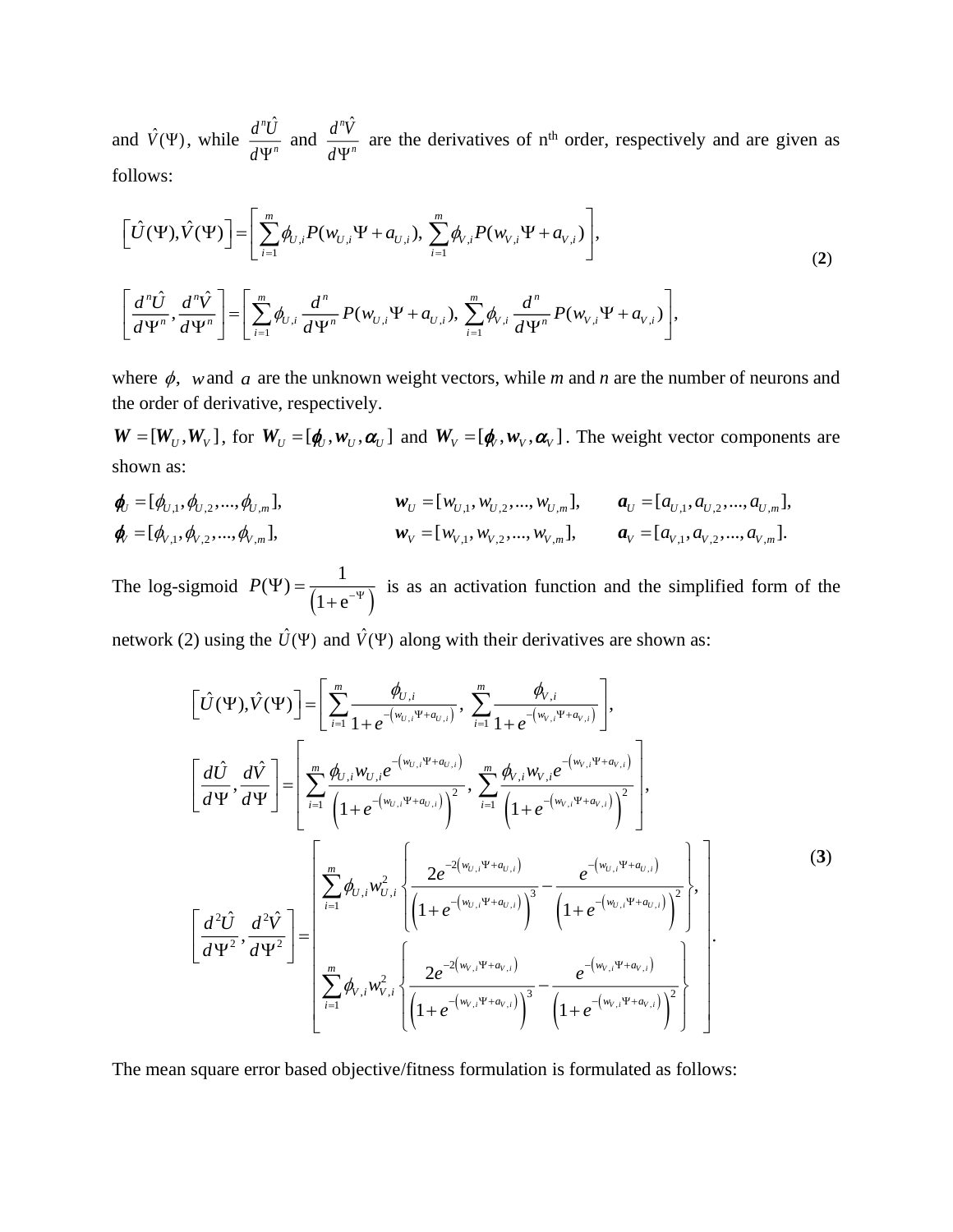and  $\hat{V}(\Psi)$ , while  $n\hat{I}$ *n*  $d^nU$  $\frac{d}{d} \Psi^n$  and  $n\hat{V}$ *n*  $d^nV$  $\frac{d^2V}{d\Psi^n}$  are the derivatives of n<sup>th</sup> order, respectively and are given as follows:

$$
\begin{aligned}\n\left[\hat{U}(\Psi), \hat{V}(\Psi)\right] &= \left[\sum_{i=1}^{m} \phi_{U,i} P(w_{U,i} \Psi + a_{U,i}), \sum_{i=1}^{m} \phi_{V,i} P(w_{V,i} \Psi + a_{V,i})\right], \\
\left[\frac{d^n \hat{U}}{d \Psi^n}, \frac{d^n \hat{V}}{d \Psi^n}\right] &= \left[\sum_{i=1}^{m} \phi_{U,i} \frac{d^n}{d \Psi^n} P(w_{U,i} \Psi + a_{U,i}), \sum_{i=1}^{m} \phi_{V,i} \frac{d^n}{d \Psi^n} P(w_{V,i} \Psi + a_{V,i})\right],\n\end{aligned} \tag{2}
$$

where  $\phi$ , *w* and *a* are the unknown weight vectors, while *m* and *n* are the number of neurons and the order of derivative, respectively.

 $W = [W_U, W_V]$ , for  $W_U = [\phi_U, w_U, \alpha_U]$  and  $W_V = [\phi_U, w_V, \alpha_V]$ . The weight vector components are shown as:

$$
\begin{aligned}\n\boldsymbol{\phi}_{U} &= [\phi_{U,1}, \phi_{U,2}, \dots, \phi_{U,m}], & \boldsymbol{w}_{U} &= [\boldsymbol{w}_{U,1}, \boldsymbol{w}_{U,2}, \dots, \boldsymbol{w}_{U,m}], & \boldsymbol{a}_{U} &= [\boldsymbol{a}_{U,1}, \boldsymbol{a}_{U,2}, \dots, \boldsymbol{a}_{U,m}], \\
\boldsymbol{\phi}_{V} &= [\phi_{V,1}, \phi_{V,2}, \dots, \phi_{V,m}], & \boldsymbol{w}_{V} &= [\boldsymbol{w}_{V,1}, \boldsymbol{w}_{V,2}, \dots, \boldsymbol{w}_{V,m}], & \boldsymbol{a}_{V} &= [\boldsymbol{a}_{V,1}, \boldsymbol{a}_{V,2}, \dots, \boldsymbol{a}_{V,m}].\n\end{aligned}
$$

The log-sigmoid  $P(\Psi) = \frac{1}{(1 + e^{-\Psi})}$  $(\Psi) = \frac{1}{\sqrt{1-\frac{1}{2}}}$  $1 + e$  $P(\Psi) = \frac{1}{(1 - \frac{1}{2})^2}$  $\frac{1}{1+e^{-\Psi}}$  is as an activation function and the simplified form of the

network (2) using the  $\hat{U}(\Psi)$  and  $\hat{V}(\Psi)$  along with their derivatives are shown as:

$$
\begin{bmatrix}\n\hat{U}(\Psi), \hat{V}(\Psi)\n\end{bmatrix} = \n\begin{bmatrix}\n\sum_{i=1}^{m} \frac{\phi_{U,i}}{1 + e^{-(w_{U,i}\Psi + a_{U,i})}}, \sum_{i=1}^{m} \frac{\phi_{V,i}}{1 + e^{-(w_{V,i}\Psi + a_{V,i})}}\n\end{bmatrix},
$$
\n
$$
\begin{bmatrix}\n\frac{d\hat{U}}{d\Psi}, \frac{d\hat{V}}{d\Psi}\n\end{bmatrix} = \n\begin{bmatrix}\n\sum_{i=1}^{m} \frac{\phi_{U,i}W_{U,i}e^{-(w_{U,i}\Psi + a_{U,i})}}{\left(1 + e^{-(w_{U,i}\Psi + a_{U,i})}\right)^2}, \sum_{i=1}^{m} \frac{\phi_{V,i}W_{V,i}e^{-(w_{V,i}\Psi + a_{V,i})}}{\left(1 + e^{-(w_{V,i}\Psi + a_{V,i})}\right)^2}\n\end{bmatrix},
$$
\n
$$
\begin{bmatrix}\n\frac{d^2\hat{U}}{d\Psi^2}, \frac{d^2\hat{V}}{d\Psi^2}\n\end{bmatrix} = \n\begin{bmatrix}\n\sum_{i=1}^{m} \phi_{U,i}W_{U,i}^2 \left\{\frac{2e^{-2(w_{U,i}\Psi + a_{U,i})}}{\left(1 + e^{-(w_{U,i}\Psi + a_{U,i})}\right)^3} - \frac{e^{-(w_{U,i}\Psi + a_{U,i})}}{\left(1 + e^{-(w_{U,i}\Psi + a_{V,i})}\right)^2}\n\end{bmatrix},
$$
\n
$$
\begin{bmatrix}\n\frac{d^2\hat{U}}{d\Psi^2}, \frac{d^2\hat{V}}{d\Psi^2}\n\end{bmatrix} = \n\begin{bmatrix}\n\sum_{i=1}^{m} \phi_{V,i}W_{V,i}^2 \left\{\frac{2e^{-2(w_{V,i}\Psi + a_{V,i})}}{\left(1 + e^{-(w_{V,i}\Psi + a_{V,i})}\right)^3} - \frac{e^{-(w_{V,i}\Psi + a_{V,i})}}{\left(1 + e^{-(w_{V,i}\Psi + a_{V,i})}\right)^2}\n\end{bmatrix},
$$
\n(3)

The mean square error based objective/fitness formulation is formulated as follows: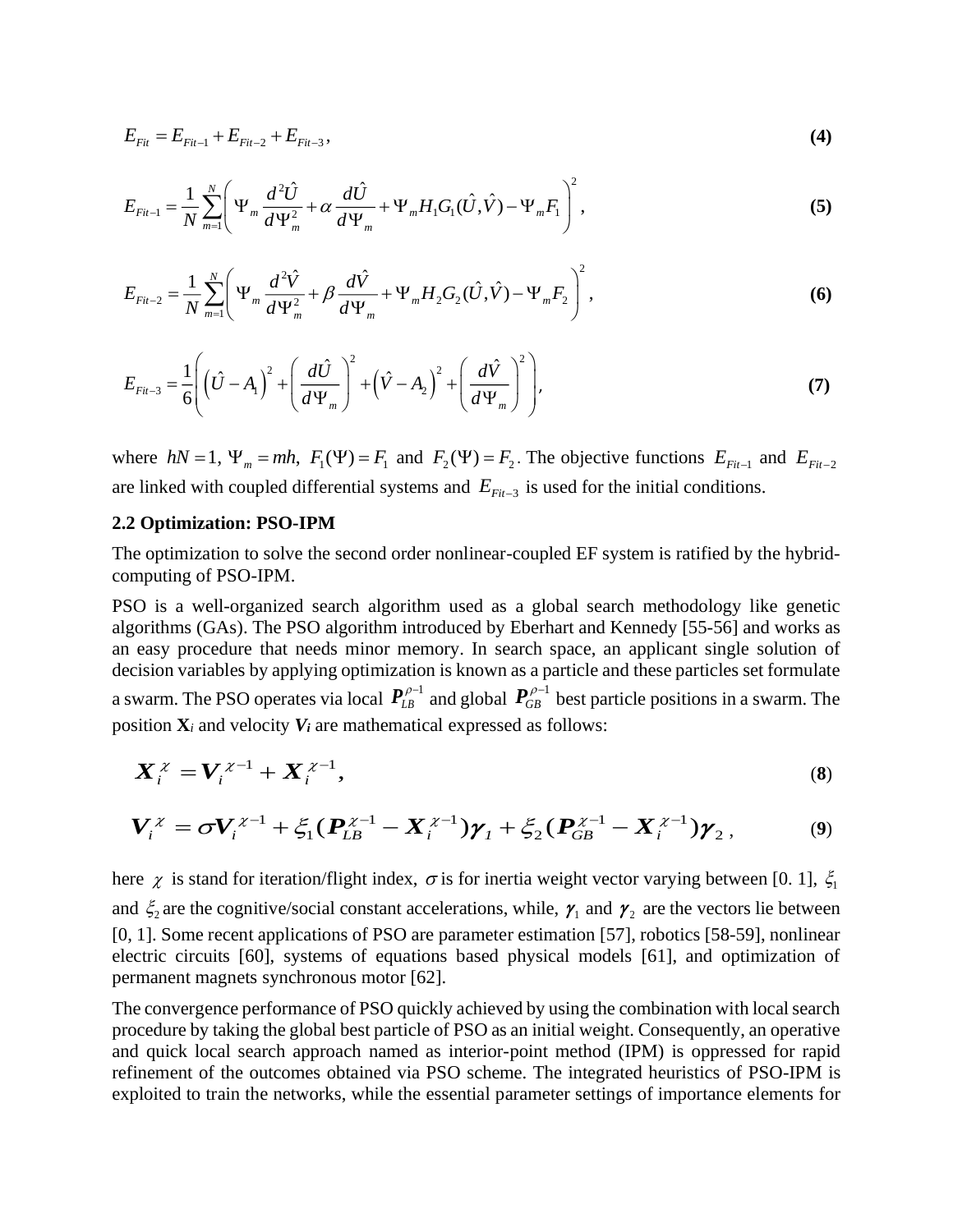$$
E_{Fit} = E_{Fit-1} + E_{Fit-2} + E_{Fit-3}, \tag{4}
$$

$$
E_{Fi-1} = \frac{1}{N} \sum_{m=1}^{N} \left( \Psi_m \frac{d^2 \hat{U}}{d \Psi_m^2} + \alpha \frac{d \hat{U}}{d \Psi_m} + \Psi_m H_1 G_1(\hat{U}, \hat{V}) - \Psi_m F_1 \right)^2,
$$
(5)

$$
E_{Fit-2} = \frac{1}{N} \sum_{m=1}^{N} \left( \Psi_m \frac{d^2 \hat{V}}{d \Psi_m^2} + \beta \frac{d \hat{V}}{d \Psi_m} + \Psi_m H_2 G_2 (\hat{U}, \hat{V}) - \Psi_m F_2 \right)^2,
$$
(6)

$$
E_{Fit-3} = \frac{1}{6} \left( \left( \hat{U} - A_1 \right)^2 + \left( \frac{d\hat{U}}{d\Psi_m} \right)^2 + \left( \hat{V} - A_2 \right)^2 + \left( \frac{d\hat{V}}{d\Psi_m} \right)^2 \right),
$$
 (7)

where  $hN = 1$ ,  $\Psi_m = mh$ ,  $F_1(\Psi) = F_1$  and  $F_2(\Psi) = F_2$ . The objective functions  $E_{Fit-1}$  and  $E_{Fit-2}$ are linked with coupled differential systems and  $E_{Fit-3}$  is used for the initial conditions.

#### **2.2 Optimization: PSO-IPM**

The optimization to solve the second order nonlinear-coupled EF system is ratified by the hybridcomputing of PSO-IPM.

PSO is a well-organized search algorithm used as a global search methodology like genetic algorithms (GAs). The PSO algorithm introduced by Eberhart and Kennedy [55-56] and works as an easy procedure that needs minor memory. In search space, an applicant single solution of decision variables by applying optimization is known as a particle and these particles set formulate a swarm. The PSO operates via local  $\textbf{\textit{P}}_{\scriptscriptstyle LB}^{\rho-\scriptscriptstyle 1}$  $\bm{P}_{LB}^{\rho-1}$  and global  $\bm{P}_{GB}^{\rho-1}$  $P_{GB}^{\rho-1}$  best particle positions in a swarm. The position  $\mathbf{X}_i$  and velocity  $V_i$  are mathematical expressed as follows:

$$
\boldsymbol{X}_i^{\chi} = \boldsymbol{V}_i^{\chi-1} + \boldsymbol{X}_i^{\chi-1},\tag{8}
$$

$$
\boldsymbol{V}_{i}^{\chi} = \sigma \boldsymbol{V}_{i}^{\chi-1} + \xi_{1} (\boldsymbol{P}_{LB}^{\chi-1} - \boldsymbol{X}_{i}^{\chi-1}) \boldsymbol{\gamma}_{I} + \xi_{2} (\boldsymbol{P}_{GB}^{\chi-1} - \boldsymbol{X}_{i}^{\chi-1}) \boldsymbol{\gamma}_{2}, \qquad (9)
$$

here  $\chi$  is stand for iteration/flight index,  $\sigma$  is for inertia weight vector varying between [0. 1],  $\xi_1$ and  $\xi_2$  are the cognitive/social constant accelerations, while,  $\gamma_1$  and  $\gamma_2$  are the vectors lie between [0, 1]. Some recent applications of PSO are parameter estimation [57], robotics [58-59], nonlinear electric circuits [60], systems of equations based physical models [61], and optimization of permanent magnets synchronous motor [62].

The convergence performance of PSO quickly achieved by using the combination with local search procedure by taking the global best particle of PSO as an initial weight. Consequently, an operative and quick local search approach named as interior-point method (IPM) is oppressed for rapid refinement of the outcomes obtained via PSO scheme. The integrated heuristics of PSO-IPM is exploited to train the networks, while the essential parameter settings of importance elements for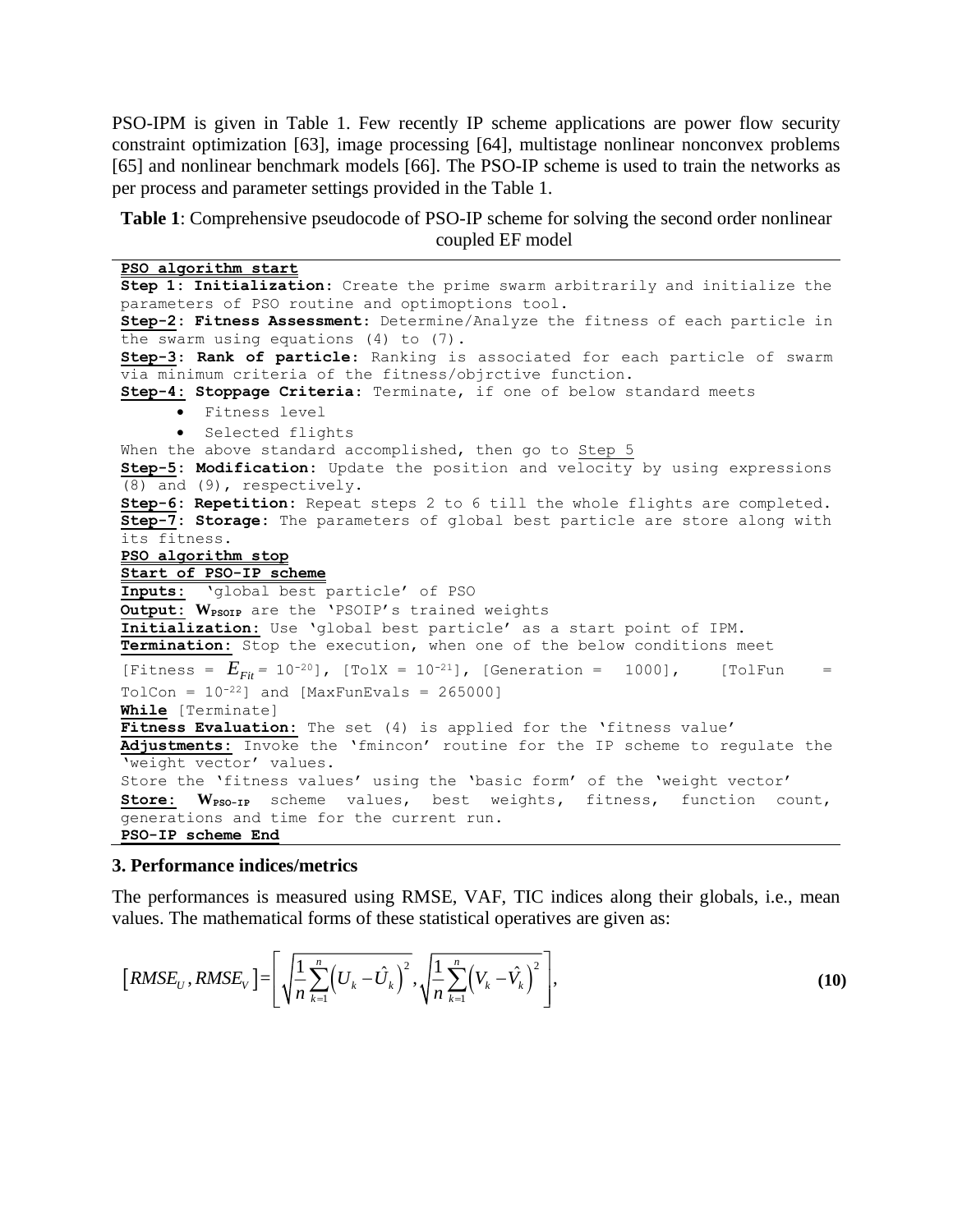PSO-IPM is given in Table 1. Few recently IP scheme applications are power flow security constraint optimization [63], image processing [64], multistage nonlinear nonconvex problems [65] and nonlinear benchmark models [66]. The PSO-IP scheme is used to train the networks as per process and parameter settings provided in the Table 1.

**Table 1**: Comprehensive pseudocode of PSO-IP scheme for solving the second order nonlinear coupled EF model

**PSO algorithm start Step 1: Initialization**: Create the prime swarm arbitrarily and initialize the parameters of PSO routine and optimoptions tool. **Step-2: Fitness Assessment**: Determine/Analyze the fitness of each particle in the swarm using equations (4) to (7). **Step-3**: **Rank of particle**: Ranking is associated for each particle of swarm via minimum criteria of the fitness/objrctive function. **Step-4: Stoppage Criteria**: Terminate, if one of below standard meets • Fitness level • Selected flights When the above standard accomplished, then go to Step 5 **Step-5: Modification:** Update the position and velocity by using expressions (8) and (9), respectively. **Step-6: Repetition:** Repeat steps 2 to 6 till the whole flights are completed. **Step-7: Storage:** The parameters of global best particle are store along with its fitness. **PSO algorithm stop Start of PSO-IP scheme Inputs:** 'global best particle' of PSO **Output:** W<sub>PSOIP</sub> are the 'PSOIP's trained weights **Initialization:** Use 'global best particle' as a start point of IPM. **Termination:** Stop the execution, when one of the below conditions meet [Fitness =  $E_{Fit}$  = 10<sup>-20</sup>], [TolX = 10<sup>-21</sup>], [Generation = 1000], [TolFun =  $TolCon = 10^{-22}$ ] and [MaxFunEvals = 265000] **While** [Terminate] **Fitness Evaluation:** The set (4) is applied for the 'fitness value' **Adjustments:** Invoke the 'fmincon' routine for the IP scheme to regulate the 'weight vector' values. Store the 'fitness values' using the 'basic form' of the 'weight vector' **Store:**  $W_{PSO-IP}$  scheme values, best weights, fitness, function count, generations and time for the current run. **PSO-IP scheme End**

#### **3. Performance indices/metrics**

The performances is measured using RMSE, VAF, TIC indices along their globals, i.e., mean values. The mathematical forms of these statistical operatives are given as:

$$
[RMSE_{U}, RMSE_{V}] = \left[ \sqrt{\frac{1}{n} \sum_{k=1}^{n} (U_{k} - \hat{U}_{k})^{2}}, \sqrt{\frac{1}{n} \sum_{k=1}^{n} (V_{k} - \hat{V}_{k})^{2}} \right],
$$
(10)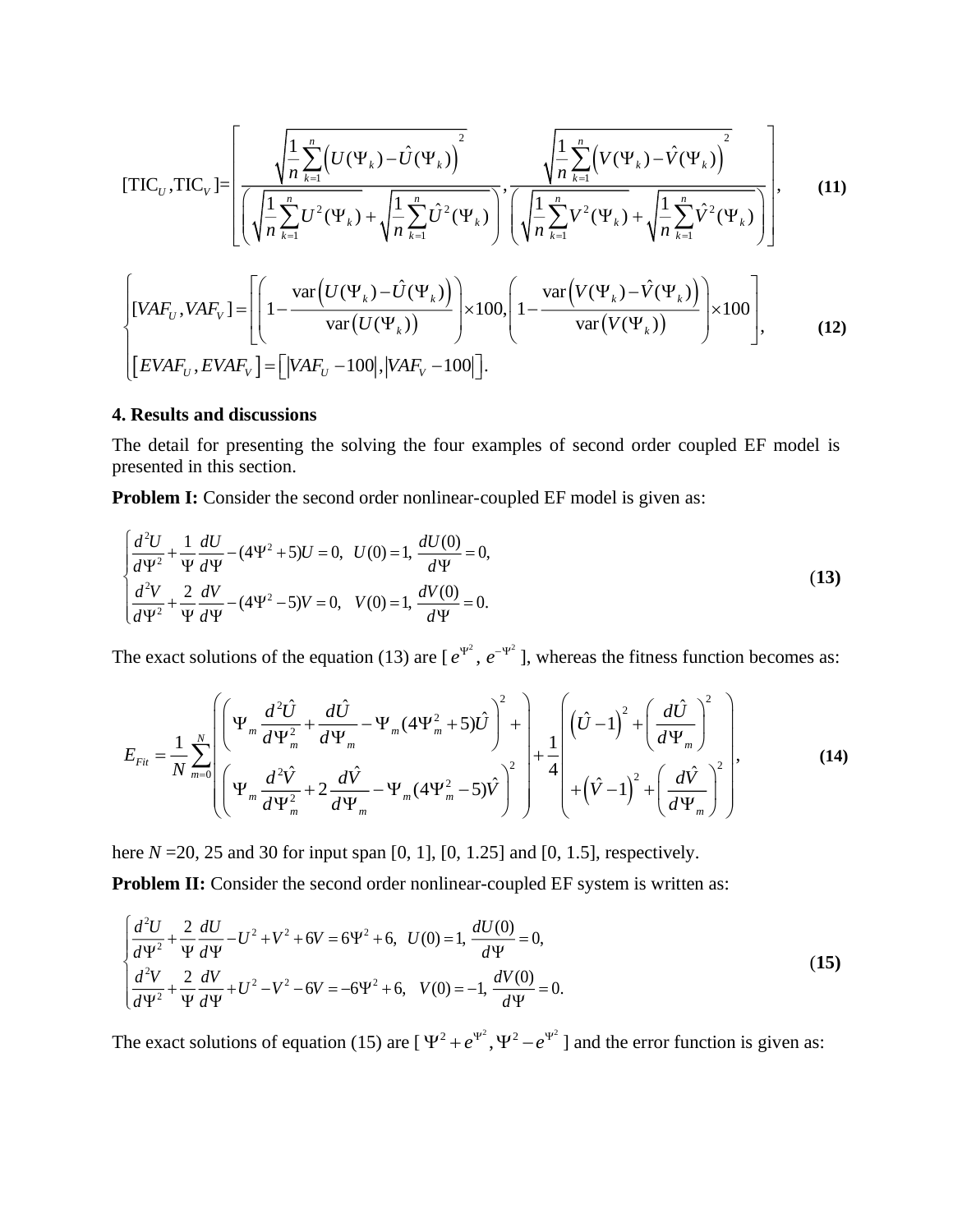$$
[\text{TIC}_{U}, \text{TIC}_{V}] = \left[ \frac{\sqrt{\frac{1}{n} \sum_{k=1}^{n} \left( U(\Psi_{k}) - \hat{U}(\Psi_{k}) \right)^{2}}}{\left( \sqrt{\frac{1}{n} \sum_{k=1}^{n} U^{2}(\Psi_{k})} + \sqrt{\frac{1}{n} \sum_{k=1}^{n} \hat{U}^{2}(\Psi_{k})} \right)^{2}} \cdot \frac{\sqrt{\frac{1}{n} \sum_{k=1}^{n} \left( V(\Psi_{k}) - \hat{V}(\Psi_{k}) \right)^{2}}}{\left( \sqrt{\frac{1}{n} \sum_{k=1}^{n} V^{2}(\Psi_{k})} + \sqrt{\frac{1}{n} \sum_{k=1}^{n} \hat{V}^{2}(\Psi_{k})} \right)^{2}} \right], \quad (11)
$$
\n
$$
\left[ [VAF_{U}, VAR_{V}] = \left[ \left( 1 - \frac{\text{var} \left( U(\Psi_{k}) - \hat{U}(\Psi_{k}) \right)}{\text{var} \left( U(\Psi_{k}) \right)} \right) \times 100, \left( 1 - \frac{\text{var} \left( V(\Psi_{k}) - \hat{V}(\Psi_{k}) \right)}{\text{var} \left( V(\Psi_{k}) \right)} \right) \times 100 \right], \quad (12)
$$

#### **4. Results and discussions**

The detail for presenting the solving the four examples of second order coupled EF model is presented in this section.

**Problem I:** Consider the second order nonlinear-coupled EF model is given as:

$$
\begin{cases}\n\frac{d^2U}{d\Psi^2} + \frac{1}{\Psi} \frac{dU}{d\Psi} - (4\Psi^2 + 5)U = 0, & U(0) = 1, \frac{dU(0)}{d\Psi} = 0, \\
\frac{d^2V}{d\Psi^2} + \frac{2}{\Psi} \frac{dV}{d\Psi} - (4\Psi^2 - 5)V = 0, & V(0) = 1, \frac{dV(0)}{d\Psi} = 0.\n\end{cases}
$$
\n(13)

The exact solutions of the equation (13) are  $[e^{\psi^2}, e^{-\psi^2}]$ , whereas the fitness function becomes as:

$$
E_{Fit} = \frac{1}{N} \sum_{m=0}^{N} \left( \Psi_m \frac{d^2 \hat{U}}{d \Psi_m^2} + \frac{d \hat{U}}{d \Psi_m} - \Psi_m (4 \Psi_m^2 + 5) \hat{U} \right)^2 + \frac{1}{4} \left( (\hat{U} - 1)^2 + \left( \frac{d \hat{U}}{d \Psi_m} \right)^2 \right)
$$
  

$$
= \frac{1}{N} \sum_{m=0}^{N} \left( \Psi_m \frac{d^2 \hat{V}}{d \Psi_m^2} + 2 \frac{d \hat{V}}{d \Psi_m} - \Psi_m (4 \Psi_m^2 - 5) \hat{V} \right)^2 + \frac{1}{4} \left( (\hat{U} - 1)^2 + \left( \frac{d \hat{V}}{d \Psi_m} \right)^2 \right),
$$
 (14)

here *N* = 20, 25 and 30 for input span [0, 1], [0, 1.25] and [0, 1.5], respectively.

**Problem II:** Consider the second order nonlinear-coupled EF system is written as:

$$
\begin{cases}\n\frac{d^2U}{d\Psi^2} + \frac{2}{\Psi} \frac{dU}{d\Psi} - U^2 + V^2 + 6V = 6\Psi^2 + 6, & U(0) = 1, \frac{dU(0)}{d\Psi} = 0, \\
\frac{d^2V}{d\Psi^2} + \frac{2}{\Psi} \frac{dV}{d\Psi} + U^2 - V^2 - 6V = -6\Psi^2 + 6, & V(0) = -1, \frac{dV(0)}{d\Psi} = 0.\n\end{cases}
$$
\n(15)

The exact solutions of equation (15) are  $[\Psi^2 + e^{\Psi^2}, \Psi^2 - e^{\Psi^2}]$  and the error function is given as: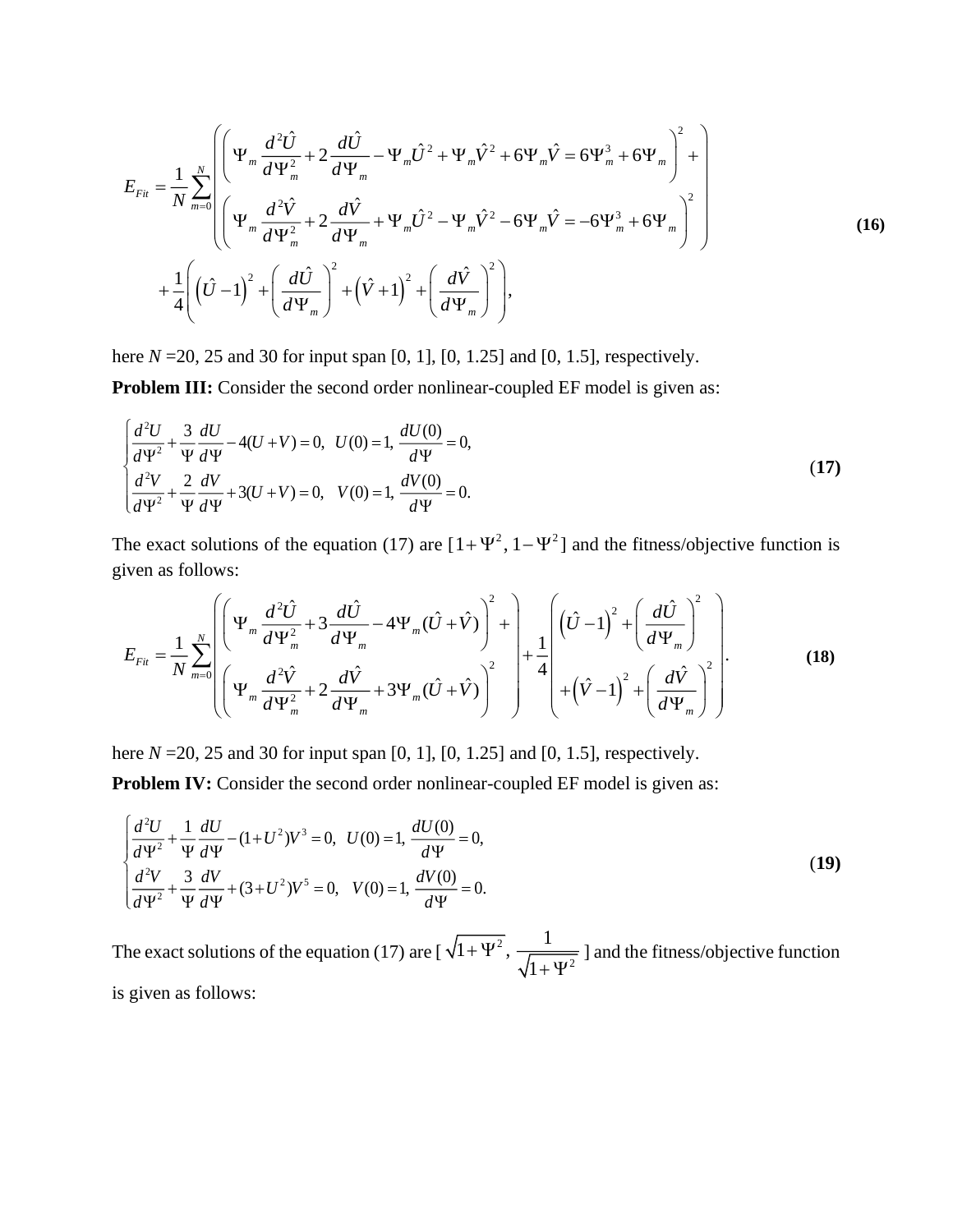$$
E_{Fit} = \frac{1}{N} \sum_{m=0}^{N} \left( \Psi_{m} \frac{d^{2} \hat{U}}{d \Psi_{m}^{2}} + 2 \frac{d \hat{U}}{d \Psi_{m}} - \Psi_{m} \hat{U}^{2} + \Psi_{m} \hat{V}^{2} + 6 \Psi_{m} \hat{V} = 6 \Psi_{m}^{3} + 6 \Psi_{m} \right)^{2} + \left[ \Psi_{m} \frac{d^{2} \hat{V}}{d \Psi_{m}^{2}} + 2 \frac{d \hat{V}}{d \Psi_{m}} + \Psi_{m} \hat{U}^{2} - \Psi_{m} \hat{V}^{2} - 6 \Psi_{m} \hat{V} = -6 \Psi_{m}^{3} + 6 \Psi_{m} \right)^{2} + \frac{1}{4} \left( \left( \hat{U} - 1 \right)^{2} + \left( \frac{d \hat{U}}{d \Psi_{m}} \right)^{2} + \left( \hat{V} + 1 \right)^{2} + \left( \frac{d \hat{V}}{d \Psi_{m}} \right)^{2} \right), \tag{16}
$$

here *N* =20, 25 and 30 for input span [0, 1], [0, 1.25] and [0, 1.5], respectively.

**Problem III:** Consider the second order nonlinear-coupled EF model is given as:

$$
\begin{cases}\n\frac{d^2U}{d\Psi^2} + \frac{3}{\Psi} \frac{dU}{d\Psi} - 4(U+V) = 0, & U(0) = 1, \frac{dU(0)}{d\Psi} = 0, \\
\frac{d^2V}{d\Psi^2} + \frac{2}{\Psi} \frac{dV}{d\Psi} + 3(U+V) = 0, & V(0) = 1, \frac{dV(0)}{d\Psi} = 0.\n\end{cases}
$$
\n(17)

The exact solutions of the equation (17) are  $[1+\Psi^2, 1-\Psi^2]$  and the fitness/objective function is given as follows:

$$
E_{Fu} = \frac{1}{N} \sum_{m=0}^{N} \left( \Psi_m \frac{d^2 \hat{U}}{d\Psi_m^2} + 3 \frac{d\hat{U}}{d\Psi_m} - 4 \Psi_m (\hat{U} + \hat{V}) \right)^2 + \left[ \frac{1}{4} \left( (\hat{U} - 1)^2 + \left( \frac{d\hat{U}}{d\Psi_m} \right)^2 \right) + \frac{1}{4} \left( (\hat{U} - 1)^2 + \left( \frac{d\hat{U}}{d\Psi_m} \right)^2 \right) + \frac{1}{4} \left( (\hat{U} - 1)^2 + \left( \frac{d\hat{U}}{d\Psi_m} \right)^2 \right) + \frac{1}{4} \left( (\hat{U} - 1)^2 + \left( \frac{d\hat{U}}{d\Psi_m} \right)^2 \right) + \frac{1}{4} \left( (\hat{U} - 1)^2 + \left( \frac{d\hat{U}}{d\Psi_m} \right)^2 \right) + \frac{1}{4} \left( (\hat{U} - 1)^2 + \left( \frac{d\hat{U}}{d\Psi_m} \right)^2 \right) + \frac{1}{4} \left( (\hat{U} - 1)^2 + \left( \frac{d\hat{U}}{d\Psi_m} \right)^2 \right) + \frac{1}{4} \left( (\hat{U} - 1)^2 + \left( \frac{d\hat{U}}{d\Psi_m} \right)^2 \right) + \frac{1}{4} \left( (\hat{U} - 1)^2 + \left( \frac{d\hat{U}}{d\Psi_m} \right)^2 \right) + \frac{1}{4} \left( (\hat{U} - 1)^2 + \left( \frac{d\hat{U}}{d\Psi_m} \right)^2 \right) + \frac{1}{4} \left( (\hat{U} - 1)^2 + \left( \frac{d\hat{U}}{d\Psi_m} \right)^2 \right) + \frac{1}{4} \left( (\hat{U} - 1)^2 + \left( \frac{d\hat{U}}{d\Psi_m} \right)^2 \right) + \frac{1}{4} \left( (\hat{U} - 1)^2 + \left( \frac{d\hat{U}}{d\Psi_m} \right)^2 \right) + \frac{1}{4} \left( (\hat{U} - 1)^2 + \left( \frac{d\hat{U}}{d\Psi_m} \right)^2 \right) + \frac{1}{4} \left( (\
$$

here *N* = 20, 25 and 30 for input span [0, 1], [0, 1.25] and [0, 1.5], respectively.

**Problem IV:** Consider the second order nonlinear-coupled EF model is given as:

$$
\begin{cases}\n\frac{d^2U}{d\Psi^2} + \frac{1}{\Psi} \frac{dU}{d\Psi} - (1 + U^2)V^3 = 0, & U(0) = 1, \frac{dU(0)}{d\Psi} = 0, \\
\frac{d^2V}{d\Psi^2} + \frac{3}{\Psi} \frac{dV}{d\Psi} + (3 + U^2)V^5 = 0, & V(0) = 1, \frac{dV(0)}{d\Psi} = 0.\n\end{cases}
$$
\n(19)

The exact solutions of the equation (17) are [ $\sqrt{1+\Psi^2}$ 2  $\frac{1}{1+\Psi^2}, \frac{1}{\sqrt{1-\Psi^2}}$ 1  $+\Psi$  $+ \Psi$ ] and the fitness/objective function is given as follows: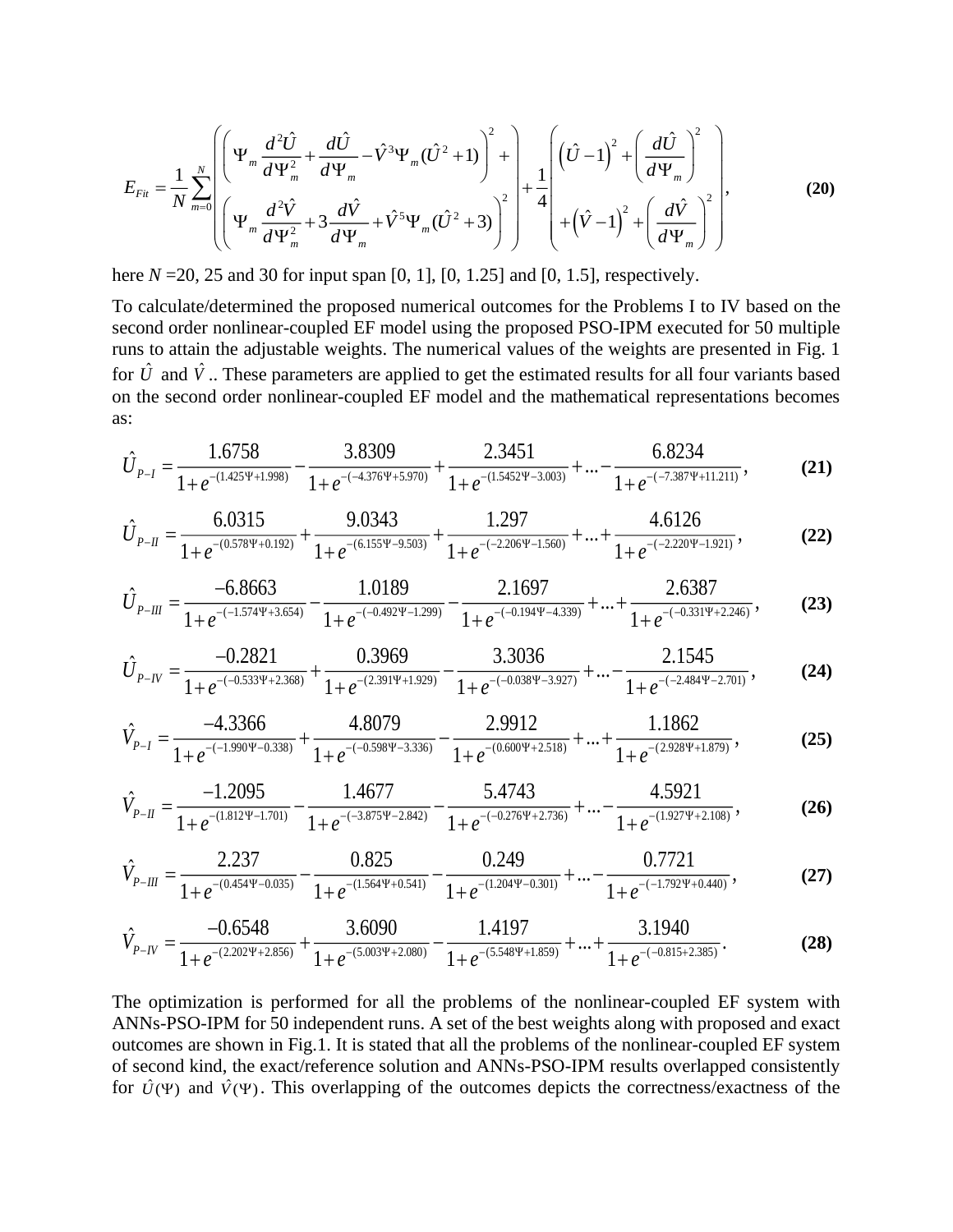$$
E_{Fit} = \frac{1}{N} \sum_{m=0}^{N} \left( \Psi_m \frac{d^2 \hat{U}}{d\Psi_m^2} + \frac{d\hat{U}}{d\Psi_m} - \hat{V}^3 \Psi_m (\hat{U}^2 + 1) \right)^2 + \frac{1}{4} \left[ \left( \hat{U} - 1 \right)^2 + \left( \frac{d\hat{U}}{d\Psi_m} \right)^2 \right] + \frac{1}{4} \left[ \left( \hat{U} - 1 \right)^2 + \left( \frac{d\hat{U}}{d\Psi_m} \right)^2 \right] + \frac{1}{4} \left[ \left( \hat{U} - 1 \right)^2 + \left( \frac{d\hat{U}}{d\Psi_m} \right)^2 \right] + \frac{1}{4} \left( \left( \hat{V} - 1 \right)^2 + \left( \frac{d\hat{V}}{d\Psi_m} \right)^2 \right)
$$
(20)

here *N* = 20, 25 and 30 for input span [0, 1], [0, 1.25] and [0, 1.5], respectively.

To calculate/determined the proposed numerical outcomes for the Problems I to IV based on the second order nonlinear-coupled EF model using the proposed PSO-IPM executed for 50 multiple runs to attain the adjustable weights. The numerical values of the weights are presented in Fig. 1 for  $\hat{U}$  and  $\hat{V}$ .. These parameters are applied to get the estimated results for all four variants based on the second order nonlinear-coupled EF model and the mathematical representations becomes as:

$$
\hat{U}_{P-I} = \frac{1.6758}{1 + e^{-(1.425\Psi + 1.998)}} - \frac{3.8309}{1 + e^{-(4.376\Psi + 5.970)}} + \frac{2.3451}{1 + e^{-(1.5452\Psi - 3.003)}} + \dots - \frac{6.8234}{1 + e^{-(-7.387\Psi + 11.211)}},
$$
(21)

$$
\hat{U}_{P-II} = \frac{6.0315}{1 + e^{-(0.578\Psi + 0.192)}} + \frac{9.0343}{1 + e^{-(6.155\Psi - 9.503)}} + \frac{1.297}{1 + e^{-(-2.206\Psi - 1.560)}} + \dots + \frac{4.6126}{1 + e^{-(-2.220\Psi - 1.921)}},
$$
(22)

$$
\hat{U}_{P-III} = \frac{-6.8663}{1 + e^{-(-1.574\Psi + 3.654)}} - \frac{1.0189}{1 + e^{-(-0.492\Psi - 1.299)}} - \frac{2.1697}{1 + e^{-(-0.194\Psi - 4.339)}} + \dots + \frac{2.6387}{1 + e^{-(-0.331\Psi + 2.246)}},
$$
(23)

$$
\hat{U}_{P-V} = \frac{-0.2821}{1 + e^{-(0.533\Psi + 2.368)}} + \frac{0.3969}{1 + e^{-(2.391\Psi + 1.929)}} - \frac{3.3036}{1 + e^{-(0.038\Psi - 3.927)}} + \dots - \frac{2.1545}{1 + e^{-(2.484\Psi - 2.701)}},
$$
(24)

$$
\hat{V}_{P-I} = \frac{-4.3366}{1 + e^{-(1.990\Psi - 0.338)}} + \frac{4.8079}{1 + e^{-(0.598\Psi - 3.336)}} - \frac{2.9912}{1 + e^{-(0.600\Psi + 2.518)}} + \dots + \frac{1.1862}{1 + e^{-(2.928\Psi + 1.879)}},
$$
(25)

$$
\hat{V}_{P-H} = \frac{-1.2095}{1 + e^{-(1.812\Psi - 1.701)}} - \frac{1.4677}{1 + e^{-(-3.875\Psi - 2.842)}} - \frac{5.4743}{1 + e^{-(-0.276\Psi + 2.736)}} + \dots - \frac{4.5921}{1 + e^{-(1.927\Psi + 2.108)}},
$$
(26)

$$
\hat{V}_{P-III} = \frac{2.237}{1 + e^{-(0.454\Psi - 0.035)}} - \frac{0.825}{1 + e^{-(1.564\Psi + 0.541)}} - \frac{0.249}{1 + e^{-(1.204\Psi - 0.301)}} + \dots - \frac{0.7721}{1 + e^{-(-1.792\Psi + 0.440)}},
$$
(27)

$$
\hat{V}_{P-N} = \frac{-0.6548}{1 + e^{-(2.202\Psi + 2.856)}} + \frac{3.6090}{1 + e^{-(5.003\Psi + 2.080)}} - \frac{1.4197}{1 + e^{-(5.548\Psi + 1.859)}} + \dots + \frac{3.1940}{1 + e^{-(-0.815 + 2.385)}}.
$$
(28)

The optimization is performed for all the problems of the nonlinear-coupled EF system with ANNs-PSO-IPM for 50 independent runs. A set of the best weights along with proposed and exact outcomes are shown in Fig.1. It is stated that all the problems of the nonlinear-coupled EF system of second kind, the exact/reference solution and ANNs-PSO-IPM results overlapped consistently for  $\hat{U}(\Psi)$  and  $\hat{V}(\Psi)$ . This overlapping of the outcomes depicts the correctness/exactness of the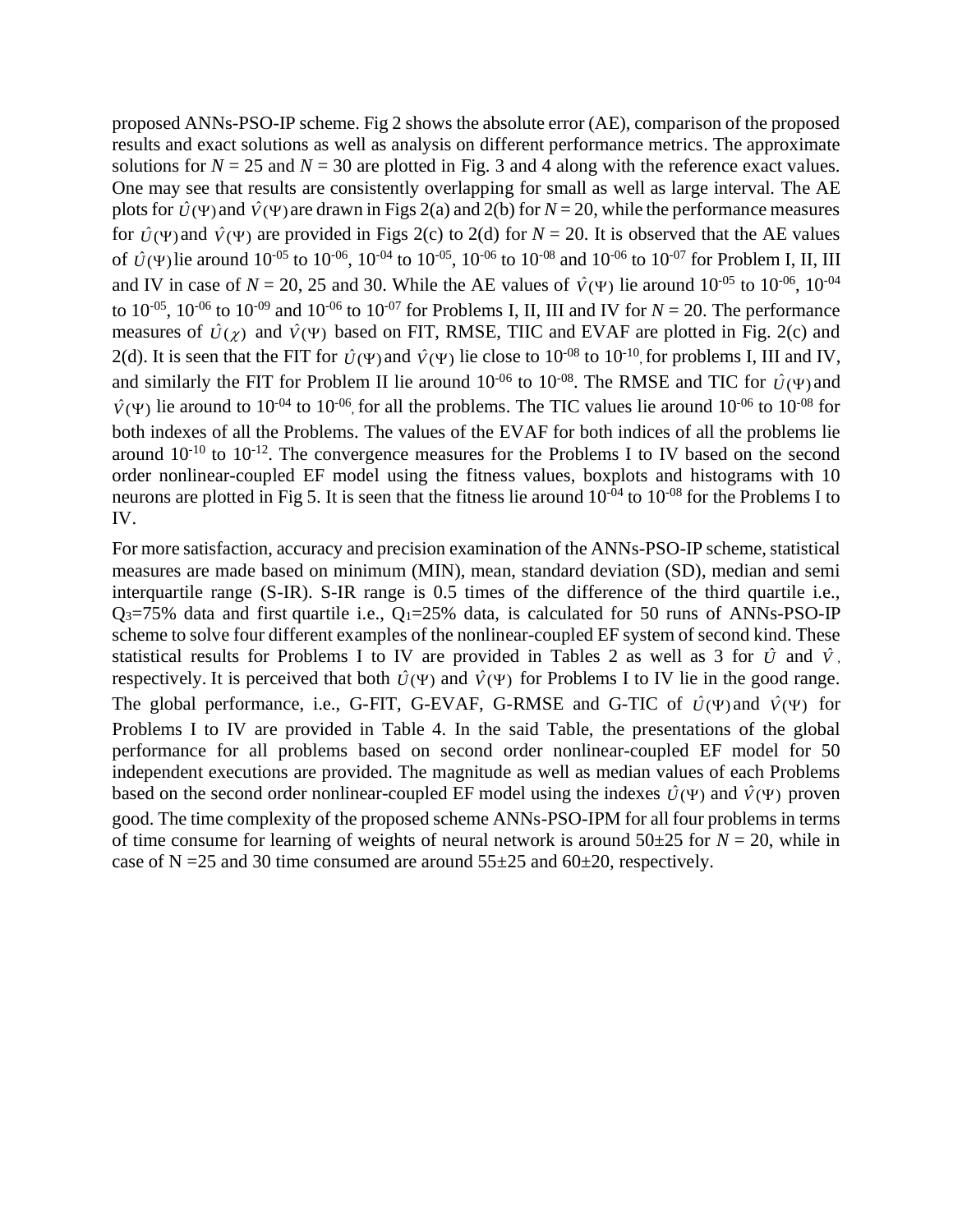proposed ANNs-PSO-IP scheme. Fig 2 shows the absolute error (AE), comparison of the proposed results and exact solutions as well as analysis on different performance metrics. The approximate solutions for  $N = 25$  and  $N = 30$  are plotted in Fig. 3 and 4 along with the reference exact values. One may see that results are consistently overlapping for small as well as large interval. The AE plots for  $\hat{U}(\Psi)$  and  $\hat{V}(\Psi)$  are drawn in Figs 2(a) and 2(b) for  $N = 20$ , while the performance measures for  $\hat{U}(\Psi)$  and  $\hat{V}(\Psi)$  are provided in Figs 2(c) to 2(d) for  $N = 20$ . It is observed that the AE values of  $\hat{U}(\Psi)$  lie around 10<sup>-05</sup> to 10<sup>-06</sup>, 10<sup>-04</sup> to 10<sup>-05</sup>, 10<sup>-06</sup> to 10<sup>-08</sup> and 10<sup>-06</sup> to 10<sup>-07</sup> for Problem I, II, III and IV in case of  $N = 20$ , 25 and 30. While the AE values of  $\hat{V}(4)$  lie around  $10^{-05}$  to  $10^{-06}$ ,  $10^{-04}$ to  $10^{-05}$ ,  $10^{-06}$  to  $10^{-09}$  and  $10^{-06}$  to  $10^{-07}$  for Problems I, II, III and IV for  $N = 20$ . The performance measures of  $\hat{U}(\chi)$  and  $\hat{V}(\Psi)$  based on FIT, RMSE, TIIC and EVAF are plotted in Fig. 2(c) and 2(d). It is seen that the FIT for  $\hat{U}(\Psi)$  and  $\hat{V}(\Psi)$  lie close to 10<sup>-08</sup> to 10<sup>-10</sup>, for problems I, III and IV, and similarly the FIT for Problem II lie around  $10^{-06}$  to  $10^{-08}$ . The RMSE and TIC for  $\hat{U}(\Psi)$  and  $\hat{V}(P)$  lie around to 10<sup>-04</sup> to 10<sup>-06</sup>, for all the problems. The TIC values lie around 10<sup>-06</sup> to 10<sup>-08</sup> for both indexes of all the Problems. The values of the EVAF for both indices of all the problems lie around  $10^{-10}$  to  $10^{-12}$ . The convergence measures for the Problems I to IV based on the second order nonlinear-coupled EF model using the fitness values, boxplots and histograms with 10 neurons are plotted in Fig 5. It is seen that the fitness lie around  $10^{-04}$  to  $10^{-08}$  for the Problems I to IV.

For more satisfaction, accuracy and precision examination of the ANNs-PSO-IP scheme, statistical measures are made based on minimum (MIN), mean, standard deviation (SD), median and semi interquartile range (S-IR). S-IR range is 0.5 times of the difference of the third quartile i.e.,  $Q_3$ =75% data and first quartile i.e.,  $Q_1$ =25% data, is calculated for 50 runs of ANNs-PSO-IP scheme to solve four different examples of the nonlinear-coupled EF system of second kind. These statistical results for Problems I to IV are provided in Tables 2 as well as 3 for  $\hat{U}$  and  $\hat{V}$ , respectively. It is perceived that both  $\hat{U}(\Psi)$  and  $\hat{V}(\Psi)$  for Problems I to IV lie in the good range. The global performance, i.e., G-FIT, G-EVAF, G-RMSE and G-TIC of  $\hat{U}(\Psi)$  and  $\hat{V}(\Psi)$  for Problems I to IV are provided in Table 4. In the said Table, the presentations of the global performance for all problems based on second order nonlinear-coupled EF model for 50 independent executions are provided. The magnitude as well as median values of each Problems based on the second order nonlinear-coupled EF model using the indexes  $\hat{U}(\Psi)$  and  $\hat{V}(\Psi)$  proven good. The time complexity of the proposed scheme ANNs-PSO-IPM for all four problems in terms of time consume for learning of weights of neural network is around  $50\pm 25$  for  $N = 20$ , while in case of N =  $25$  and 30 time consumed are around  $55\pm 25$  and  $60\pm 20$ , respectively.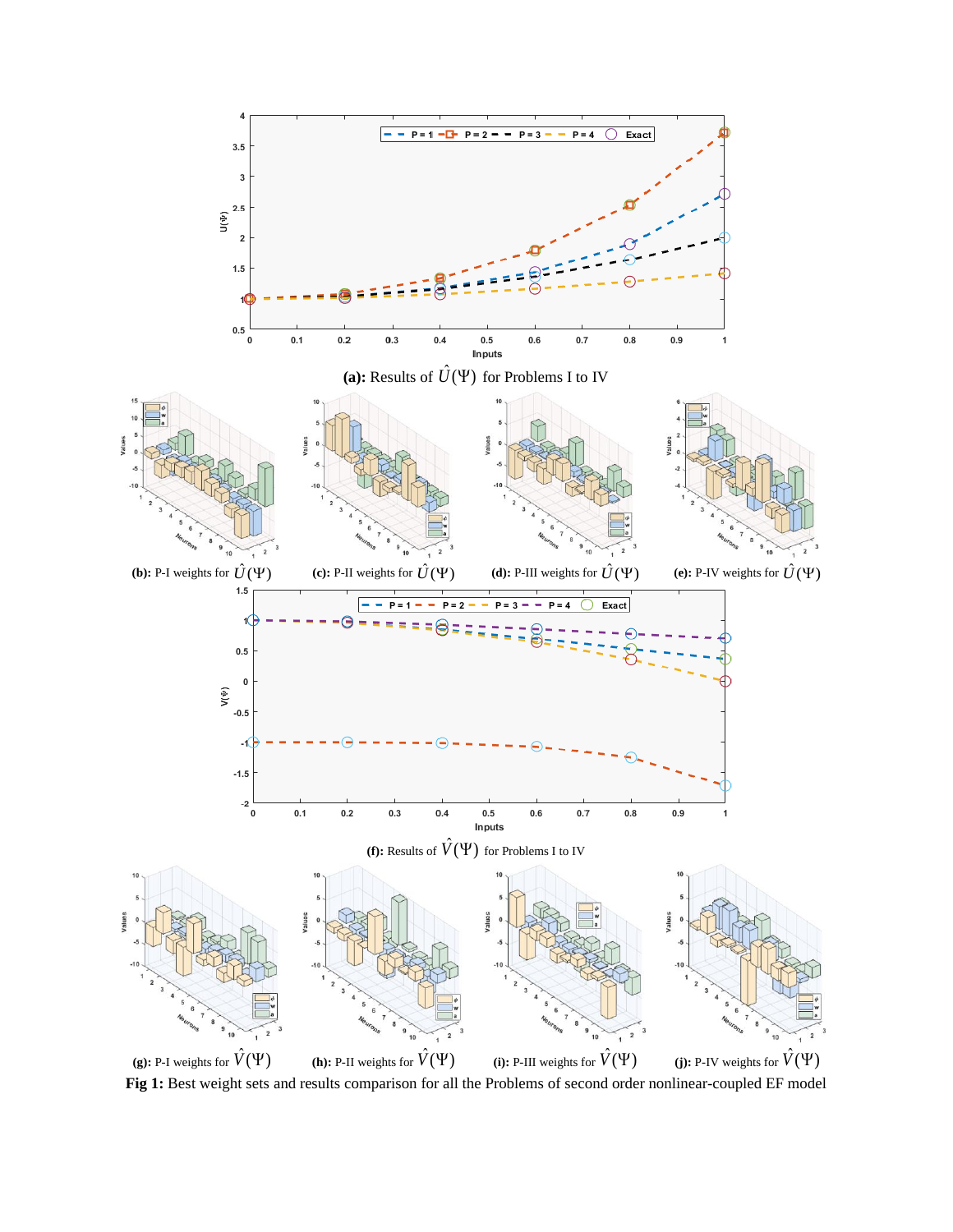

**(g):** P-I weights for  $\hat{V}( \Psi )$ **(h):** P-II weights for  $\hat{V}( \Psi )$ **(i):** P-III weights for  $\hat{V}( \Psi )$ **(j):** P-IV weights for  $\hat{V}(\Psi)$ **Fig 1:** Best weight sets and results comparison for all the Problems of second order nonlinear-coupled EF model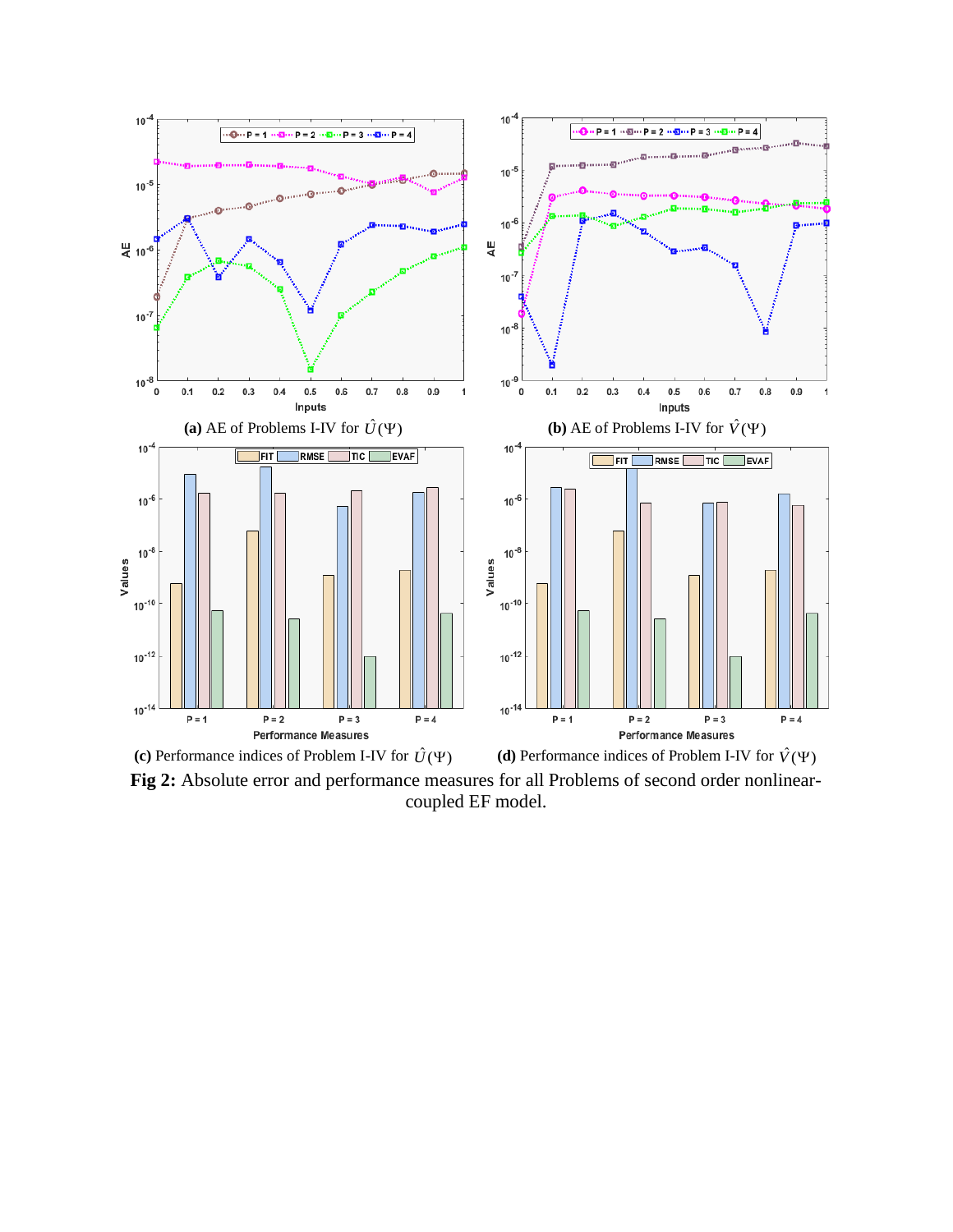

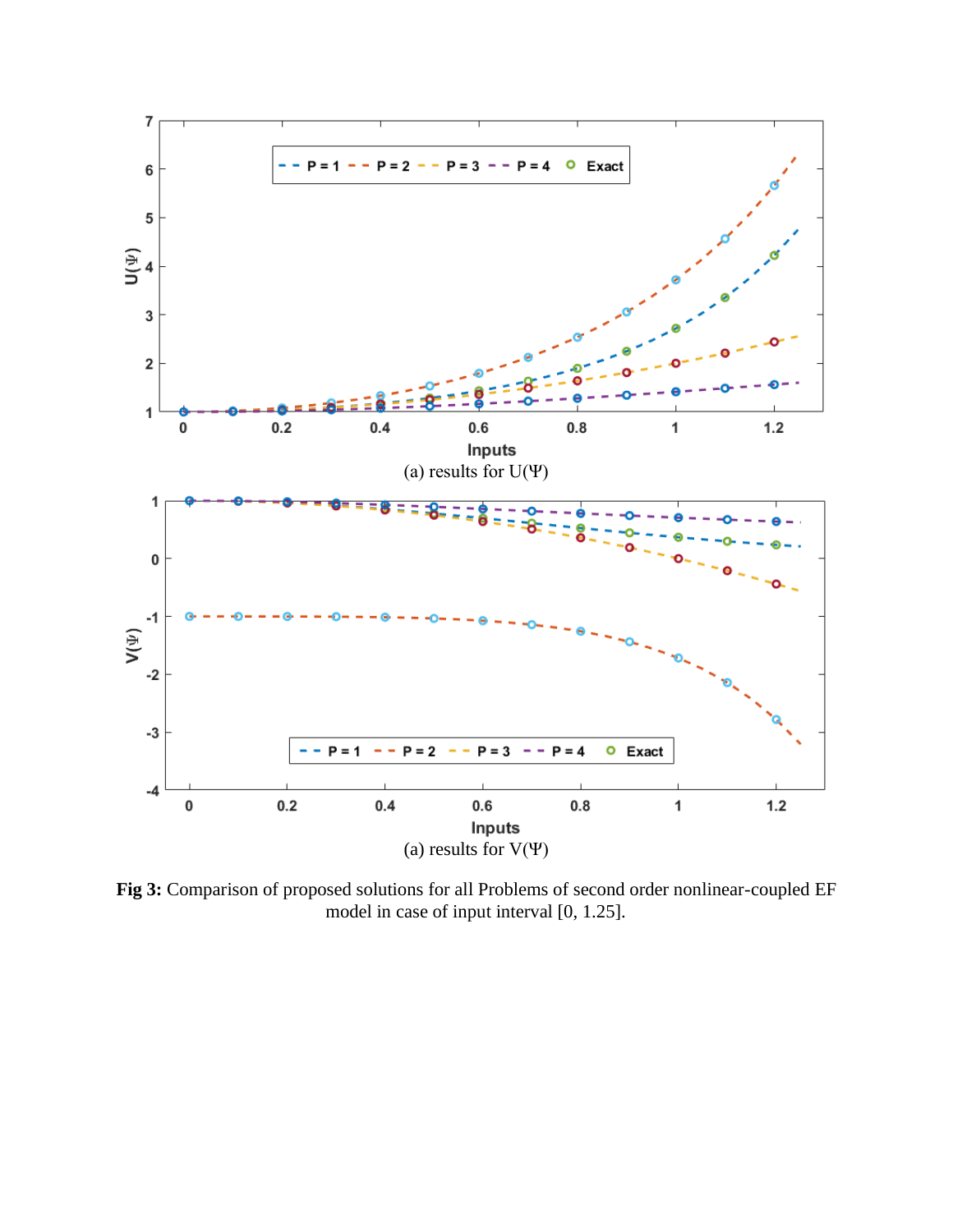

**Fig 3:** Comparison of proposed solutions for all Problems of second order nonlinear-coupled EF model in case of input interval [0, 1.25].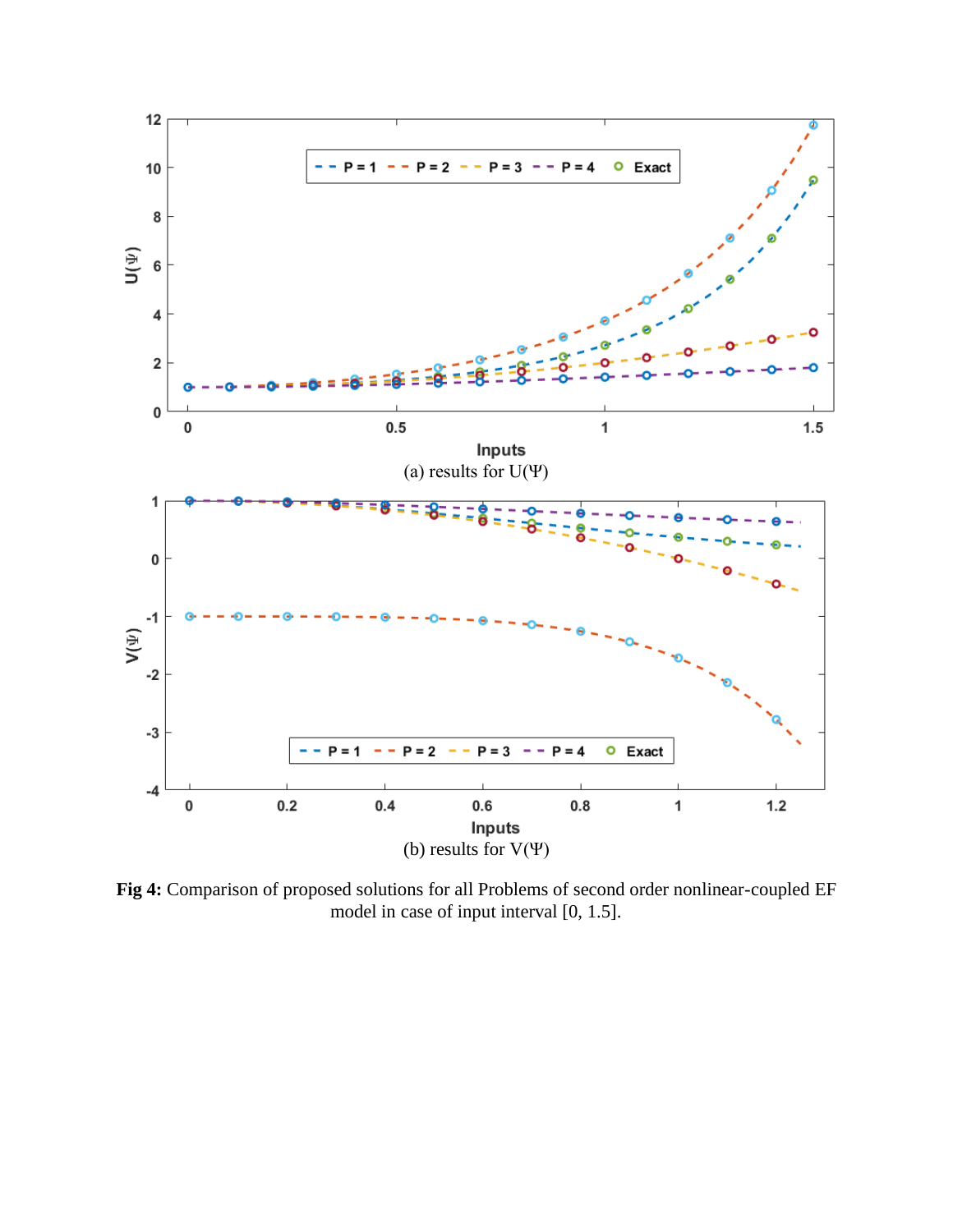

**Fig 4:** Comparison of proposed solutions for all Problems of second order nonlinear-coupled EF model in case of input interval [0, 1.5].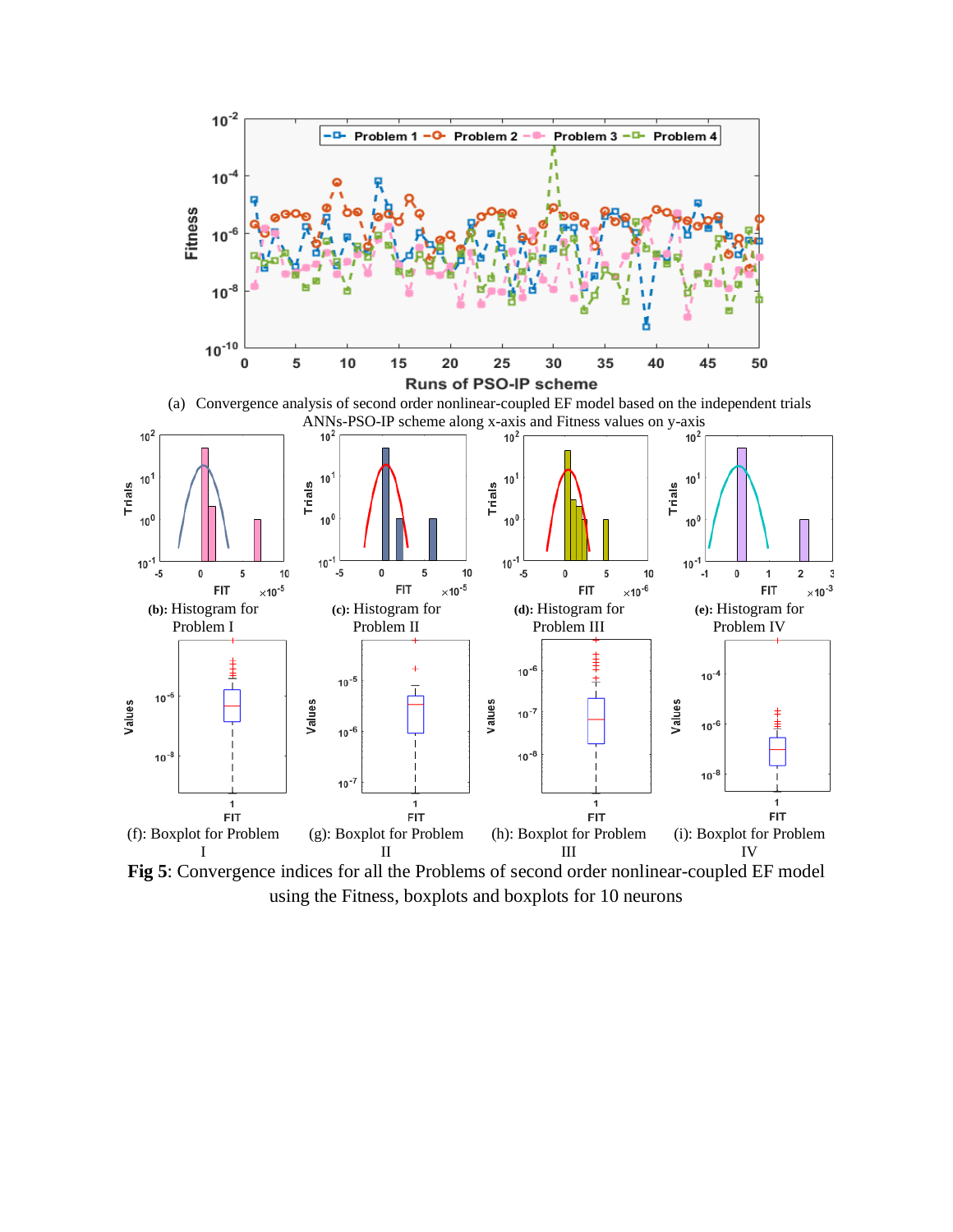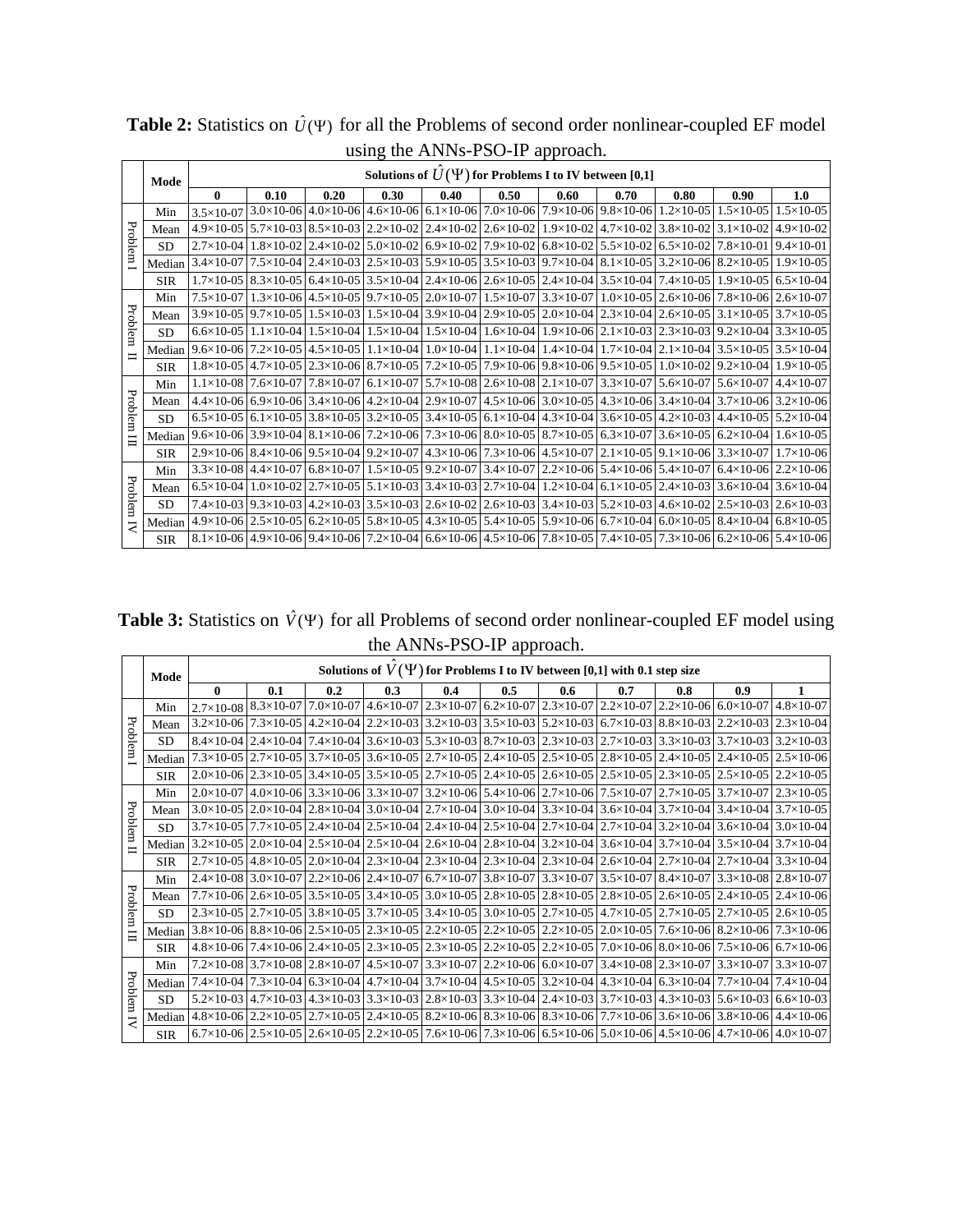|                         |            | $\mu_{\text{bulk}}$ and $\mu_{\text{H}}$ and $\mu_{\text{U}}$ and $\mu_{\text{H}}$ |      |      |      |      |      |      |                                                                                                                                                                                                                                                            |      |      |                                                                                                                                                                                                                                                            |
|-------------------------|------------|------------------------------------------------------------------------------------|------|------|------|------|------|------|------------------------------------------------------------------------------------------------------------------------------------------------------------------------------------------------------------------------------------------------------------|------|------|------------------------------------------------------------------------------------------------------------------------------------------------------------------------------------------------------------------------------------------------------------|
|                         | Mode       | Solutions of $\hat{U}(\Psi)$ for Problems I to IV between [0,1]                    |      |      |      |      |      |      |                                                                                                                                                                                                                                                            |      |      |                                                                                                                                                                                                                                                            |
|                         |            | $\bf{0}$                                                                           | 0.10 | 0.20 | 0.30 | 0.40 | 0.50 | 0.60 | 0.70                                                                                                                                                                                                                                                       | 0.80 | 0.90 | 1.0                                                                                                                                                                                                                                                        |
|                         | Min        |                                                                                    |      |      |      |      |      |      | $3.5\times10.07$ 3.0×10-06 4.0×10-06 4.6×10-06 6.1×10-06 7.0×10-06 7.9×10-06 9.8×10-06 1.2×10-05 1.5×10-05 1.5×10-05                                                                                                                                       |      |      |                                                                                                                                                                                                                                                            |
|                         | Mean       |                                                                                    |      |      |      |      |      |      | $4.9\times10-05$ 5.7 $\times10-03$ 8.5 $\times10-03$ 2.2 $\times10-02$ 2.4 $\times10-02$ 2.6 $\times10-02$ 1.9 $\times10-02$ 4.7 $\times10-02$ 3.8 $\times10-02$ 3.1 $\times10-02$ 4.9 $\times10-02$                                                       |      |      |                                                                                                                                                                                                                                                            |
| Problem                 | <b>SD</b>  |                                                                                    |      |      |      |      |      |      | $2.7\times10-04$   $1.8\times10-02$   $2.4\times10-02$   $5.0\times10-02$   $6.9\times10-02$   $7.9\times10-02$   $6.8\times10-02$   $5.5\times10-02$   $6.5\times10-02$   $7.8\times10-01$   $9.4\times10-01$                                             |      |      |                                                                                                                                                                                                                                                            |
|                         | Median     |                                                                                    |      |      |      |      |      |      | $3.4\times10-07$   $7.5\times10-04$   $2.4\times10-03$   $2.5\times10-03$   $5.9\times10-05$   $3.5\times10-03$   $9.7\times10-04$   $8.1\times10-05$   $3.2\times10-06$   $8.2\times10-05$   $1.9\times10-05$                                             |      |      |                                                                                                                                                                                                                                                            |
|                         | <b>SIR</b> |                                                                                    |      |      |      |      |      |      |                                                                                                                                                                                                                                                            |      |      | $1.7\times10-05$ 8.3 $\times10-05$ 6.4 $\times10-05$ 3.5 $\times10-04$ 2.4 $\times10-06$ 2.6 $\times10-05$ 2.4 $\times10-04$ 3.5 $\times10-04$ 7.4 $\times10-05$ 1.9 $\times10-05$ 6.5 $\times10-04$                                                       |
|                         | Min        |                                                                                    |      |      |      |      |      |      | 7.5×10-07   1.3×10-06   4.5×10-05   9.7×10-05   2.0×10-07   1.5×10-07   3.3×10-07   1.0×10-05   2.6×10-06   7.8×10-06   2.6×10-07                                                                                                                          |      |      |                                                                                                                                                                                                                                                            |
| Problem                 | Mean       |                                                                                    |      |      |      |      |      |      | $3.9\times10-05$   $9.7\times10-05$   $1.5\times10-03$   $1.5\times10-04$   $3.9\times10-04$   $2.9\times10-05$   $2.0\times10-04$   $2.3\times10-04$   $2.6\times10-05$   $3.1\times10-05$   $3.7\times10-05$                                             |      |      |                                                                                                                                                                                                                                                            |
|                         | <b>SD</b>  |                                                                                    |      |      |      |      |      |      | $6.6 \times 10^{-0}$   $1.1 \times 10^{-0}$   $1.5 \times 10^{-0}$   $1.5 \times 10^{-0}$   $1.5 \times 10^{-0}$   $1.6 \times 10^{-0}$   $1.9 \times 10^{-0}$   $2.1 \times 10^{-0}$   $2.3 \times 10^{-0}$   $9.2 \times 10^{-0}$   $3.3 \times 10^{-0}$ |      |      |                                                                                                                                                                                                                                                            |
| $\blacksquare$          |            |                                                                                    |      |      |      |      |      |      |                                                                                                                                                                                                                                                            |      |      | Median 9.6×10-06 7.2×10-05 4.5×10-05 1.1×10-04 1.0×10-04 1.1×10-04 1.1×10-04 1.4×10-04 2.1×10-04 3.5×10-05 3.5×10-04                                                                                                                                       |
|                         | <b>SIR</b> |                                                                                    |      |      |      |      |      |      | $1.8\times10-05$   $4.7\times10-05$   $2.3\times10-06$   $8.7\times10-05$   $7.2\times10-05$   $7.9\times10-06$   $9.8\times10-06$   $9.5\times10-05$   $1.0\times10-02$   $9.2\times10-04$   $1.9\times10-05$                                             |      |      |                                                                                                                                                                                                                                                            |
|                         | Min        |                                                                                    |      |      |      |      |      |      |                                                                                                                                                                                                                                                            |      |      | $1.1\times10-08$   7.6×10-07   7.8×10-07   6.1×10-07   5.7×10-08   2.6×10-08   2.1×10-07   3.3×10-07   5.6×10-07   5.6×10-07   4.4×10-07                                                                                                                   |
| Problem                 | Mean       |                                                                                    |      |      |      |      |      |      |                                                                                                                                                                                                                                                            |      |      | $4.4 \times 10^{-0}$ 6 $6.9 \times 10^{-0}$ 6 $3.4 \times 10^{-0}$ 6 $4.2 \times 10^{-0}$ 4 $2.9 \times 10^{-0}$ 7 $4.5 \times 10^{-0}$ 6 $3.0 \times 10^{-0}$ 5 $4.3 \times 10^{-0}$ 6 $3.4 \times 10^{-0}$ 4 $3.7 \times 10^{-0}$ 6 $3.2 \times 10^{-0}$ |
|                         | <b>SD</b>  |                                                                                    |      |      |      |      |      |      |                                                                                                                                                                                                                                                            |      |      | $6.5 \times 10^{-0}$   $6.1 \times 10^{-0}$   $3.8 \times 10^{-0}$   $3.2 \times 10^{-0}$   $3.4 \times 10^{-0}$   $3.4 \times 10^{-0}$   $4.3 \times 10^{-0}$   $3.6 \times 10^{-0}$   $4.2 \times 10^{-0}$   $4.4 \times 10^{-0}$   $5.2 \times 10^{-0}$ |
| Ë                       | Median     |                                                                                    |      |      |      |      |      |      | $9.6 \times 10^{-0}$ $3.9 \times 10^{-0}$ $4.8.1 \times 10^{-0}$ $6.7.2 \times 10^{-0}$ $6.7.3 \times 10^{-0}$ $6.8.0 \times 10^{-0}$ $5.8.7 \times 10^{-0}$ $5.3 \times 10^{-0}$ $7.3 \times 10^{-0}$ $1.6 \times 10^{-0}$                                |      |      |                                                                                                                                                                                                                                                            |
|                         | <b>SIR</b> |                                                                                    |      |      |      |      |      |      |                                                                                                                                                                                                                                                            |      |      | $2.9\times10-06$   8.4 $\times10-06$   9.5 $\times10-04$   9.2 $\times10-07$   4.3 $\times10-06$   7.3 $\times10-06$   4.5 $\times10-07$   2.1 $\times10-05$   9.1 $\times10-06$   3.3 $\times10-07$   1.7 $\times10-06$                                   |
|                         | Min        |                                                                                    |      |      |      |      |      |      |                                                                                                                                                                                                                                                            |      |      | $3.3\times10-08$   $4.4\times10-07$   $6.8\times10-07$   $1.5\times10-05$   $9.2\times10-07$   $3.4\times10-07$   $2.2\times10-06$   $5.4\times10-06$   $5.4\times10-07$   $6.4\times10-06$   $2.2\times10-06$                                             |
| Problem                 | Mean       |                                                                                    |      |      |      |      |      |      | $6.5\times10-04$   $1.0\times10-02$   $2.7\times10-05$   $5.1\times10-03$   $3.4\times10-03$   $2.7\times10-04$   $1.2\times10-04$   $6.1\times10-05$   $2.4\times10-03$   $3.6\times10-04$   $3.6\times10-04$                                             |      |      |                                                                                                                                                                                                                                                            |
|                         | <b>SD</b>  |                                                                                    |      |      |      |      |      |      |                                                                                                                                                                                                                                                            |      |      | 7.4×10-03 9.3×10-03   4.2×10-03   4.2×10-03   3.5×10-03   2.6×10-02   2.6×10-03   3.4×10-03   5.2×10-03   4.6×10-02   2.5×10-03   2.6×10-03                                                                                                                |
| $\overline{\mathbf{z}}$ | Median     |                                                                                    |      |      |      |      |      |      |                                                                                                                                                                                                                                                            |      |      | $4.9\times10-06$ $2.5\times10-05$ $6.2\times10-05$ $5.8\times10-05$ $4.3\times10-05$ $5.4\times10-05$ $5.9\times10-06$ $6.7\times10-04$ $6.0\times10-05$ $8.4\times10-04$ $6.8\times10-05$                                                                 |
|                         | <b>SIR</b> |                                                                                    |      |      |      |      |      |      |                                                                                                                                                                                                                                                            |      |      | $8.1\times10-06$ 4.9×10-06 9.4×10-06 7.2×10-04 6.6×10-06 4.5×10-06 7.8×10-05 7.4×10-05 7.3×10-06 6.2×10-06 5.4×10-06                                                                                                                                       |

**Table 2:** Statistics on  $\hat{U}(\Psi)$  for all the Problems of second order nonlinear-coupled EF model using the ANNs-PSO-IP approach

**Table 3:** Statistics on  $\hat{V}(\Psi)$  for all Problems of second order nonlinear-coupled EF model using the ANNs-PSO-IP approach. 'n

|           | Mode       | Solutions of $V(\Psi)$ for Problems I to IV between [0,1] with 0.1 step size |     |     |     |     |     |                                                                                                                                                                                                                          |     |     |     |  |
|-----------|------------|------------------------------------------------------------------------------|-----|-----|-----|-----|-----|--------------------------------------------------------------------------------------------------------------------------------------------------------------------------------------------------------------------------|-----|-----|-----|--|
|           |            | $\mathbf{0}$                                                                 | 0.1 | 0.2 | 0.3 | 0.4 | 0.5 | 0.6                                                                                                                                                                                                                      | 0.7 | 0.8 | 0.9 |  |
| Problem 1 | Min        |                                                                              |     |     |     |     |     | 2.7×10-08 8.3×10-07 7.0×10-07 4.6×10-07 2.3×10-07 6.2×10-07 2.3×10-07 2.2×10-07 2.2×10-06 6.0×10-07 4.8×10-07                                                                                                            |     |     |     |  |
|           | Mean       |                                                                              |     |     |     |     |     | $3.2\times10-06$   $7.3\times10-05$   $4.2\times10-04$   $2.2\times10-03$   $3.2\times10-03$   $3.5\times10-03$   $5.2\times10-03$   $6.7\times10-03$   $8.8\times10-03$   $2.2\times10-03$   $2.3\times10-04$           |     |     |     |  |
|           | SD         |                                                                              |     |     |     |     |     | $8.4\times10-04$ $2.4\times10-04$ $7.4\times10-04$ $3.6\times10-03$ $5.3\times10-03$ $8.7\times10-03$ $2.3\times10-03$ $2.7\times10-03$ $3.3\times10-03$ $3.7\times10-03$ $3.7\times10-03$ $3.2\times10-03$              |     |     |     |  |
|           | Median     |                                                                              |     |     |     |     |     | 7.3×10-05 2.4×10-05 3.7×10-05 3.6×10-05 2.7×10-05 2.4×10-05 2.5×10-05 2.8×10-05 2.4×10-05 2.4×10-05 2.4×10-05                                                                                                            |     |     |     |  |
|           | <b>SIR</b> |                                                                              |     |     |     |     |     | $2.0\times10-06$ $2.3\times10-05$ $3.4\times10-05$ $3.5\times10-05$ $2.7\times10-05$ $2.4\times10-05$ $2.6\times10-05$ $2.5\times10-05$ $2.3\times10-05$ $2.5\times10-05$ $2.2\times10-05$                               |     |     |     |  |
|           | Min        |                                                                              |     |     |     |     |     | $2.0\times10-07$   $4.0\times10-06$   $3.3\times10-06$   $3.3\times10-07$   $3.2\times10-06$   $5.4\times10-06$   $2.7\times10-06$   $7.5\times10-07$   $2.7\times10-05$   $3.7\times10-07$   $2.3\times10-05$           |     |     |     |  |
| Problem   | Mean       |                                                                              |     |     |     |     |     | $3.0\times10$ -05 $2.0\times10$ -04 $2.8\times10$ -04 $3.0\times10$ -04 $2.7\times10$ -04 $3.0\times10$ -04 $3.3\times10$ -04 $3.6\times10$ -04 $3.7\times10$ -04 $3.4\times10$ -04 $3.7\times10$ -05                    |     |     |     |  |
|           | <b>SD</b>  |                                                                              |     |     |     |     |     | $3.7\times10-05$   $7.7\times10-05$   $2.4\times10-04$   $2.5\times10-04$   $2.4\times10-04$   $2.5\times10-04$   $2.7\times10-04$   $2.7\times10-04$   $3.2\times10-04$   $3.6\times10-04$   $3.0\times10-04$           |     |     |     |  |
|           | Median     |                                                                              |     |     |     |     |     | $3.2\times10-05$ $2.0\times10-04$ $2.5\times10-04$ $2.5\times10-04$ $2.6\times10-04$ $2.8\times10-04$ $3.2\times10-04$ $3.6\times10-04$ $3.7\times10-04$ $3.5\times10-04$ $3.5\times10-04$ $3.7\times10-04$              |     |     |     |  |
|           | <b>SIR</b> |                                                                              |     |     |     |     |     | 2.7×10-05 4.8×10-05 2.0×10-04 2.3×10-04 2.3×10-04 2.3×10-04 2.3×10-04 2.3×10-04 2.7×10-04 2.7×10-04 3.3×10-04                                                                                                            |     |     |     |  |
|           | Min        |                                                                              |     |     |     |     |     | $2.4\times10-08$ 3.0×10-07 $\left[2.2\times10-06\right]$ $2.4\times10-07$ 6.7×10-07 3.8×10-07 3.3×10-07 3.5×10-07 8.4×10-07 3.3×10-08 2.8×10-07                                                                          |     |     |     |  |
| Problem   | Mean       |                                                                              |     |     |     |     |     | $7.7\times10-06$ 2.6 $\times10-05$ 3.5 $\times10-05$ 3.4 $\times10-05$ 3.0 $\times10-05$ 2.8 $\times10-05$ 2.8 $\times10-05$ 2.8 $\times10-05$ 2.6 $\times10-05$ 2.4 $\times10-05$ 2.4 $\times10-05$                     |     |     |     |  |
|           | <b>SD</b>  |                                                                              |     |     |     |     |     | $2.3\times10-05$   $2.7\times10-05$   $3.8\times10-05$   $3.7\times10-05$   $3.4\times10-05$   $3.0\times10-05$   $2.7\times10-05$   $4.7\times10-05$   $2.7\times10-05$   $2.7\times10-05$   $2.6\times10-05$           |     |     |     |  |
| Ë         | Median     |                                                                              |     |     |     |     |     | $3.8\times10-06$ $8.8\times10-06$ $2.5\times10-05$ $2.3\times10-05$ $2.2\times10-05$ $2.2\times10-05$ $2.2\times10-05$ $2.2\times10-05$ $2.0\times10-05$ $7.6\times10-06$ $8.2\times10-06$ $7.3\times10-06$              |     |     |     |  |
|           | <b>SIR</b> |                                                                              |     |     |     |     |     | $4.8\times10-06$   7.4 $\times10-06$   2.4 $\times10-05$   2.3 $\times10-05$   2.3 $\times10-05$   2.2 $\times10-05$   2.2 $\times10-05$   7.0 $\times10-06$   8.0 $\times10-06$   7.5 $\times10-06$   6.7 $\times10-06$ |     |     |     |  |
|           | Min        |                                                                              |     |     |     |     |     | $7.2\times10-08$ 3.7×10-08 $2.8\times10-07$ 4.5×10-07 3.3×10-07 2.2×10-06 6.0×10-07 3.4×10-08 2.3×10-07 3.3×10-07 3.3×10-07 3.3×10-07                                                                                    |     |     |     |  |
| Problem   | Median     |                                                                              |     |     |     |     |     | 7.4×10-04 7.3×10-04 6.3×10-04 4.7×10-04 3.7×10-04 4.5×10-05 3.2×10-04 4.3×10-04 6.3×10-04 7.7×10-04 7.4×10-04                                                                                                            |     |     |     |  |
|           | <b>SD</b>  |                                                                              |     |     |     |     |     | $5.2\times10-03$   $4.7\times10-03$   $4.3\times10-03$   $3.3\times10-03$   $2.8\times10-03$   $3.3\times10-04$   $2.4\times10-03$   $3.7\times10-03$   $4.3\times10-03$   $5.6\times10-03$   $6.6\times10-03$           |     |     |     |  |
|           | Median     |                                                                              |     |     |     |     |     | $4.8\times10-06$   2.2×10-05   2.7×10-05   2.4×10-05   8.2×10-06   8.3×10-06   8.3×10-06   7.7×10-06   3.6×10-06   3.8×10-06   4.4×10-06                                                                                 |     |     |     |  |
|           | <b>SIR</b> |                                                                              |     |     |     |     |     | $6.7\times10-06$ $2.5\times10-05$ $2.6\times10-05$ $2.2\times10-05$ $7.6\times10-06$ $7.3\times10-06$ $6.5\times10-06$ $5.0\times10-06$ $4.5\times10-06$ $4.7\times10-06$ $4.0\times10-07$                               |     |     |     |  |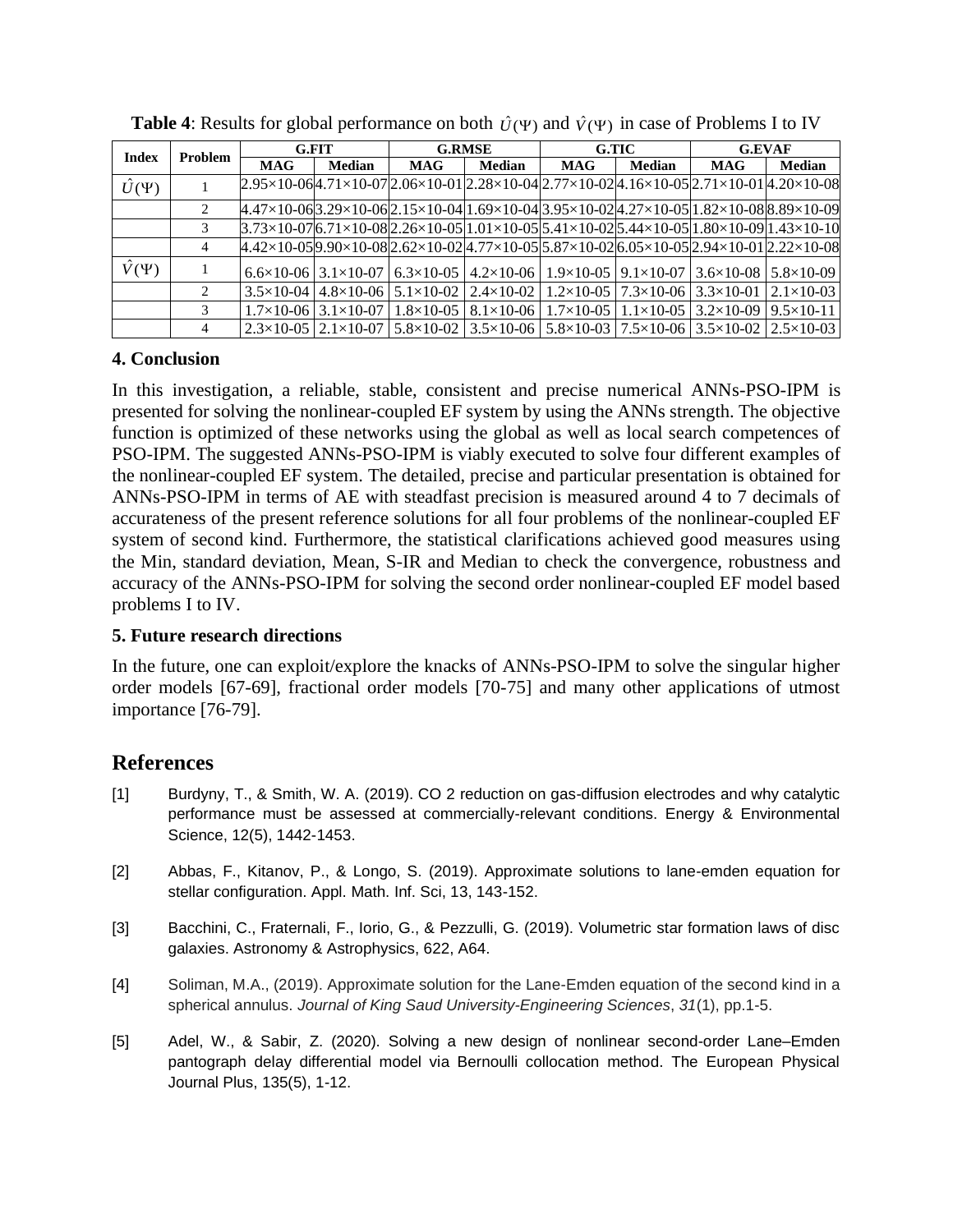| <b>Index</b>    | Problem |            | <b>G.FIT</b>                         |            | <b>G.RMSE</b> | G.TIC                                                                                                                                                                                         |               | <b>G.EVAF</b> |               |
|-----------------|---------|------------|--------------------------------------|------------|---------------|-----------------------------------------------------------------------------------------------------------------------------------------------------------------------------------------------|---------------|---------------|---------------|
|                 |         | <b>MAG</b> | <b>Median</b>                        | <b>MAG</b> | <b>Median</b> | <b>MAG</b>                                                                                                                                                                                    | <b>Median</b> | <b>MAG</b>    | <b>Median</b> |
| $\hat{U}(\Psi)$ |         |            |                                      |            |               | $2.95\times10-064.71\times10-07$  2.06 $\times10-01$  2.28 $\times10-04$  2.77 $\times10-02$  4.16 $\times10-05$  2.71 $\times10-01$  4.20 $\times10-08$                                      |               |               |               |
|                 |         |            |                                      |            |               | $4.47\times10-063.29\times10-062.15\times10-041.69\times10-043.95\times10-024.27\times10-0511.82\times10-088.89\times10-09$                                                                   |               |               |               |
|                 |         |            |                                      |            |               | $3.73\times10-07$ 6.71×10-08 2.26×10-05 1.01×10-05 5.41×10-02 5.44×10-05 1.80×10-09 1.43×10-10                                                                                                |               |               |               |
|                 | 4       |            |                                      |            |               | $4.42\times10-059.90\times10-082.62\times10-024.77\times10-055.87\times10-026.05\times10-052.94\times10-012.22\times10-08$                                                                    |               |               |               |
| $\hat{V}(\Psi)$ |         |            |                                      |            |               | $6.6 \times 10^{-06}$   3.1×10-07   6.3×10-05   4.2×10-06   1.9×10-05   9.1×10-07   3.6×10-08   5.8×10-09                                                                                     |               |               |               |
|                 |         |            |                                      |            |               | $3.5 \times 10^{-04}$   $4.8 \times 10^{-06}$   $5.1 \times 10^{-02}$   $2.4 \times 10^{-02}$   $1.2 \times 10^{-05}$   $7.3 \times 10^{-06}$   $3.3 \times 10^{-01}$   $2.1 \times 10^{-03}$ |               |               |               |
|                 |         |            | $1.7\times10-06$   3.1 $\times10-07$ |            |               | $1.8\times10-05$   8.1×10-06   1.7×10-05   1.1×10-05   3.2×10-09   9.5×10-11                                                                                                                  |               |               |               |
|                 |         |            |                                      |            |               | $2.3 \times 10^{-6}$   $2.1 \times 10^{-6}$   $5.8 \times 10^{-6}$   $3.5 \times 10^{-6}$   $5.8 \times 10^{-6}$   $7.5 \times 10^{-6}$   $3.5 \times 10^{-6}$   $2.5 \times 10^{-6}$         |               |               |               |

**Table 4:** Results for global performance on both  $\hat{U}(\Psi)$  and  $\hat{V}(\Psi)$  in case of Problems I to IV

## **4. Conclusion**

In this investigation, a reliable, stable, consistent and precise numerical ANNs-PSO-IPM is presented for solving the nonlinear-coupled EF system by using the ANNs strength. The objective function is optimized of these networks using the global as well as local search competences of PSO-IPM. The suggested ANNs-PSO-IPM is viably executed to solve four different examples of the nonlinear-coupled EF system. The detailed, precise and particular presentation is obtained for ANNs-PSO-IPM in terms of AE with steadfast precision is measured around 4 to 7 decimals of accurateness of the present reference solutions for all four problems of the nonlinear-coupled EF system of second kind. Furthermore, the statistical clarifications achieved good measures using the Min, standard deviation, Mean, S-IR and Median to check the convergence, robustness and accuracy of the ANNs-PSO-IPM for solving the second order nonlinear-coupled EF model based problems I to IV.

## **5. Future research directions**

In the future, one can exploit/explore the knacks of ANNs-PSO-IPM to solve the singular higher order models [67-69], fractional order models [70-75] and many other applications of utmost importance [76-79].

# **References**

- [1] Burdyny, T., & Smith, W. A. (2019). CO 2 reduction on gas-diffusion electrodes and why catalytic performance must be assessed at commercially-relevant conditions. Energy & Environmental Science, 12(5), 1442-1453.
- [2] Abbas, F., Kitanov, P., & Longo, S. (2019). Approximate solutions to lane-emden equation for stellar configuration. Appl. Math. Inf. Sci, 13, 143-152.
- [3] Bacchini, C., Fraternali, F., Iorio, G., & Pezzulli, G. (2019). Volumetric star formation laws of disc galaxies. Astronomy & Astrophysics, 622, A64.
- [4] Soliman, M.A., (2019). Approximate solution for the Lane-Emden equation of the second kind in a spherical annulus. *Journal of King Saud University-Engineering Sciences*, *31*(1), pp.1-5.
- [5] Adel, W., & Sabir, Z. (2020). Solving a new design of nonlinear second-order Lane–Emden pantograph delay differential model via Bernoulli collocation method. The European Physical Journal Plus, 135(5), 1-12.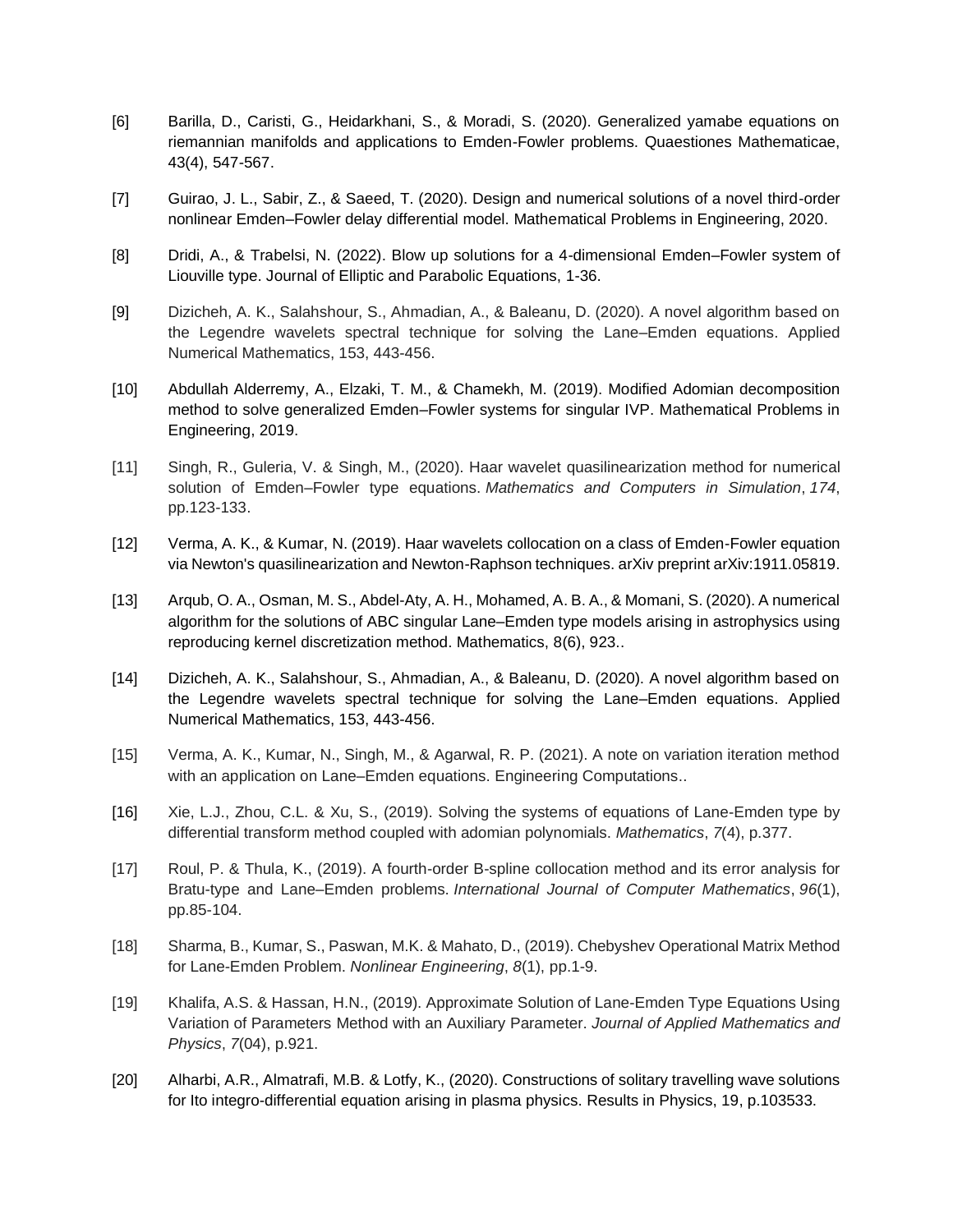- [6] Barilla, D., Caristi, G., Heidarkhani, S., & Moradi, S. (2020). Generalized yamabe equations on riemannian manifolds and applications to Emden-Fowler problems. Quaestiones Mathematicae, 43(4), 547-567.
- [7] Guirao, J. L., Sabir, Z., & Saeed, T. (2020). Design and numerical solutions of a novel third-order nonlinear Emden–Fowler delay differential model. Mathematical Problems in Engineering, 2020.
- [8] Dridi, A., & Trabelsi, N. (2022). Blow up solutions for a 4-dimensional Emden–Fowler system of Liouville type. Journal of Elliptic and Parabolic Equations, 1-36.
- [9] Dizicheh, A. K., Salahshour, S., Ahmadian, A., & Baleanu, D. (2020). A novel algorithm based on the Legendre wavelets spectral technique for solving the Lane–Emden equations. Applied Numerical Mathematics, 153, 443-456.
- [10] Abdullah Alderremy, A., Elzaki, T. M., & Chamekh, M. (2019). Modified Adomian decomposition method to solve generalized Emden–Fowler systems for singular IVP. Mathematical Problems in Engineering, 2019.
- [11] Singh, R., Guleria, V. & Singh, M., (2020). Haar wavelet quasilinearization method for numerical solution of Emden–Fowler type equations. *Mathematics and Computers in Simulation*, *174*, pp.123-133.
- [12] Verma, A. K., & Kumar, N. (2019). Haar wavelets collocation on a class of Emden-Fowler equation via Newton's quasilinearization and Newton-Raphson techniques. arXiv preprint arXiv:1911.05819.
- [13] Arqub, O. A., Osman, M. S., Abdel-Aty, A. H., Mohamed, A. B. A., & Momani, S. (2020). A numerical algorithm for the solutions of ABC singular Lane–Emden type models arising in astrophysics using reproducing kernel discretization method. Mathematics, 8(6), 923..
- [14] Dizicheh, A. K., Salahshour, S., Ahmadian, A., & Baleanu, D. (2020). A novel algorithm based on the Legendre wavelets spectral technique for solving the Lane–Emden equations. Applied Numerical Mathematics, 153, 443-456.
- [15] Verma, A. K., Kumar, N., Singh, M., & Agarwal, R. P. (2021). A note on variation iteration method with an application on Lane–Emden equations. Engineering Computations..
- [16] Xie, L.J., Zhou, C.L. & Xu, S., (2019). Solving the systems of equations of Lane-Emden type by differential transform method coupled with adomian polynomials. *Mathematics*, *7*(4), p.377.
- [17] Roul, P. & Thula, K., (2019). A fourth-order B-spline collocation method and its error analysis for Bratu-type and Lane–Emden problems. *International Journal of Computer Mathematics*, *96*(1), pp.85-104.
- [18] Sharma, B., Kumar, S., Paswan, M.K. & Mahato, D., (2019). Chebyshev Operational Matrix Method for Lane-Emden Problem. *Nonlinear Engineering*, *8*(1), pp.1-9.
- [19] Khalifa, A.S. & Hassan, H.N., (2019). Approximate Solution of Lane-Emden Type Equations Using Variation of Parameters Method with an Auxiliary Parameter. *Journal of Applied Mathematics and Physics*, *7*(04), p.921.
- [20] Alharbi, A.R., Almatrafi, M.B. & Lotfy, K., (2020). Constructions of solitary travelling wave solutions for Ito integro-differential equation arising in plasma physics. Results in Physics, 19, p.103533.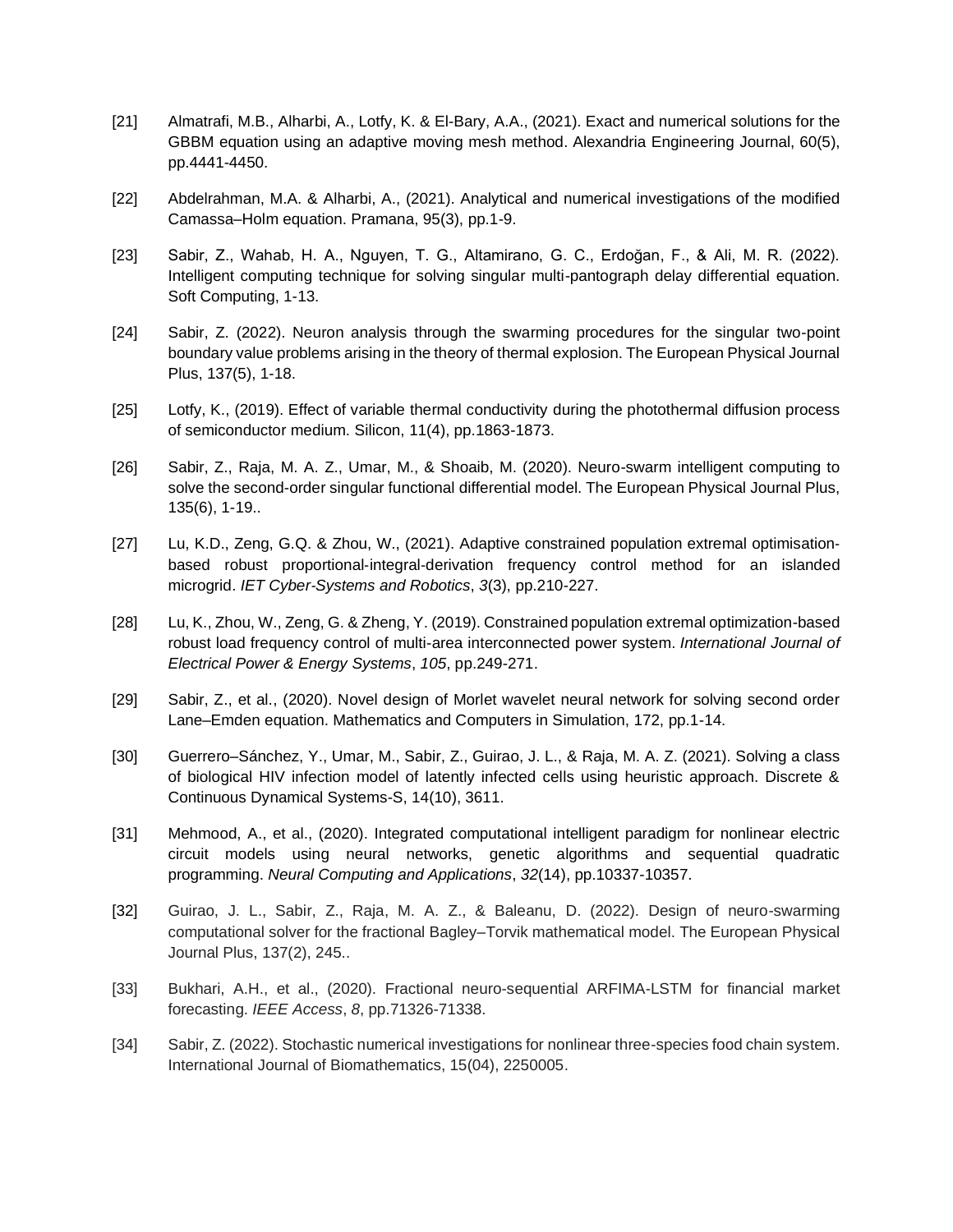- [21] Almatrafi, M.B., Alharbi, A., Lotfy, K. & El-Bary, A.A., (2021). Exact and numerical solutions for the GBBM equation using an adaptive moving mesh method. Alexandria Engineering Journal, 60(5), pp.4441-4450.
- [22] Abdelrahman, M.A. & Alharbi, A., (2021). Analytical and numerical investigations of the modified Camassa–Holm equation. Pramana, 95(3), pp.1-9.
- [23] Sabir, Z., Wahab, H. A., Nguyen, T. G., Altamirano, G. C., Erdoğan, F., & Ali, M. R. (2022). Intelligent computing technique for solving singular multi-pantograph delay differential equation. Soft Computing, 1-13.
- [24] Sabir, Z. (2022). Neuron analysis through the swarming procedures for the singular two-point boundary value problems arising in the theory of thermal explosion. The European Physical Journal Plus, 137(5), 1-18.
- [25] Lotfy, K., (2019). Effect of variable thermal conductivity during the photothermal diffusion process of semiconductor medium. Silicon, 11(4), pp.1863-1873.
- [26] Sabir, Z., Raja, M. A. Z., Umar, M., & Shoaib, M. (2020). Neuro-swarm intelligent computing to solve the second-order singular functional differential model. The European Physical Journal Plus, 135(6), 1-19..
- [27] Lu, K.D., Zeng, G.Q. & Zhou, W., (2021). Adaptive constrained population extremal optimisation‐ based robust proportional‐integral‐derivation frequency control method for an islanded microgrid. *IET Cyber*‐*Systems and Robotics*, *3*(3), pp.210-227.
- [28] Lu, K., Zhou, W., Zeng, G. & Zheng, Y. (2019). Constrained population extremal optimization-based robust load frequency control of multi-area interconnected power system. *International Journal of Electrical Power & Energy Systems*, *105*, pp.249-271.
- [29] Sabir, Z., et al., (2020). Novel design of Morlet wavelet neural network for solving second order Lane–Emden equation. Mathematics and Computers in Simulation, 172, pp.1-14.
- [30] Guerrero–Sánchez, Y., Umar, M., Sabir, Z., Guirao, J. L., & Raja, M. A. Z. (2021). Solving a class of biological HIV infection model of latently infected cells using heuristic approach. Discrete & Continuous Dynamical Systems-S, 14(10), 3611.
- [31] Mehmood, A., et al., (2020). Integrated computational intelligent paradigm for nonlinear electric circuit models using neural networks, genetic algorithms and sequential quadratic programming. *Neural Computing and Applications*, *32*(14), pp.10337-10357.
- [32] Guirao, J. L., Sabir, Z., Raja, M. A. Z., & Baleanu, D. (2022). Design of neuro-swarming computational solver for the fractional Bagley–Torvik mathematical model. The European Physical Journal Plus, 137(2), 245..
- [33] Bukhari, A.H., et al., (2020). Fractional neuro-sequential ARFIMA-LSTM for financial market forecasting. *IEEE Access*, *8*, pp.71326-71338.
- [34] Sabir, Z. (2022). Stochastic numerical investigations for nonlinear three-species food chain system. International Journal of Biomathematics, 15(04), 2250005.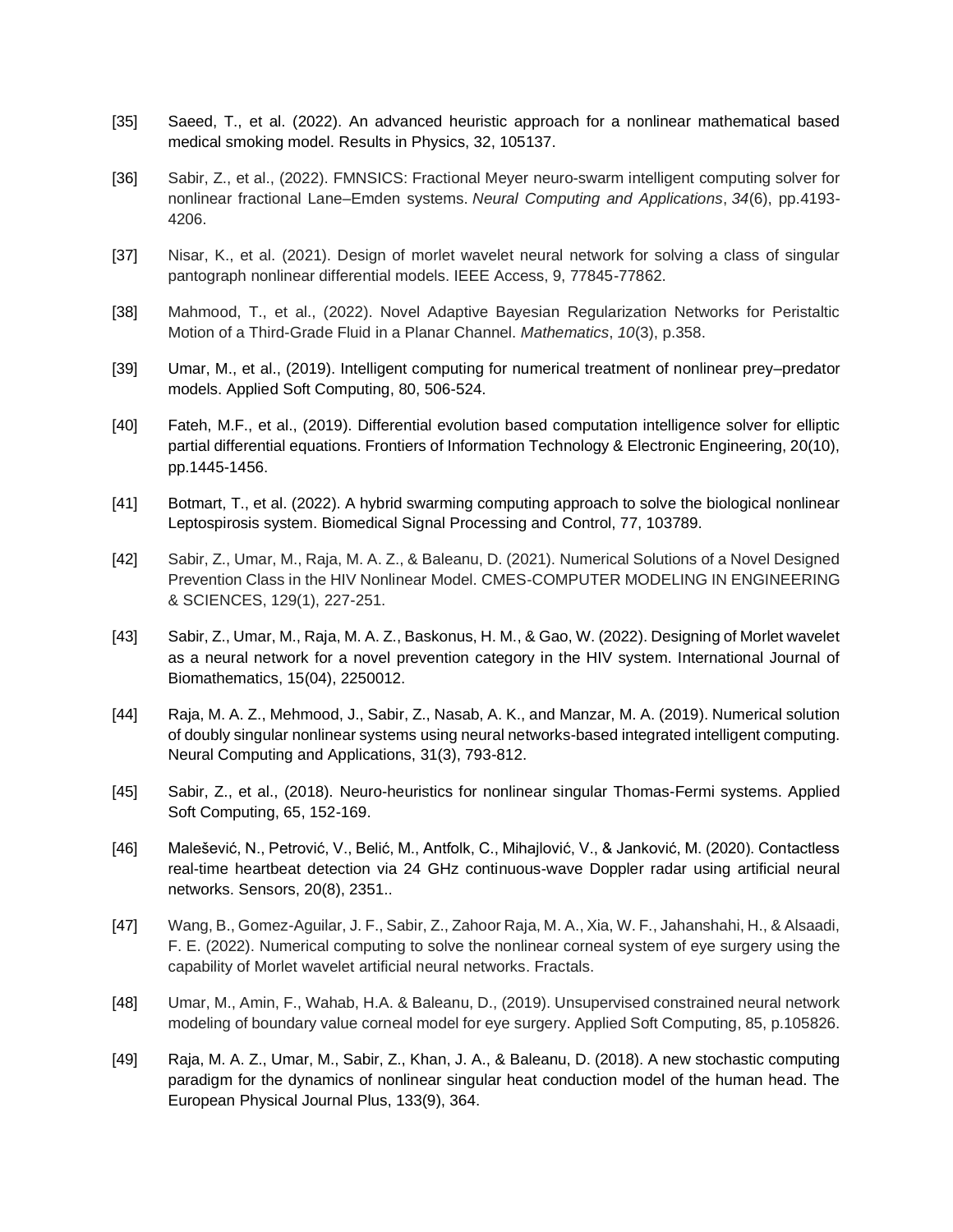- [35] Saeed, T., et al. (2022). An advanced heuristic approach for a nonlinear mathematical based medical smoking model. Results in Physics, 32, 105137.
- [36] Sabir, Z., et al., (2022). FMNSICS: Fractional Meyer neuro-swarm intelligent computing solver for nonlinear fractional Lane–Emden systems. *Neural Computing and Applications*, *34*(6), pp.4193- 4206.
- [37] Nisar, K., et al. (2021). Design of morlet wavelet neural network for solving a class of singular pantograph nonlinear differential models. IEEE Access, 9, 77845-77862.
- [38] Mahmood, T., et al., (2022). Novel Adaptive Bayesian Regularization Networks for Peristaltic Motion of a Third-Grade Fluid in a Planar Channel. *Mathematics*, *10*(3), p.358.
- [39] Umar, M., et al., (2019). Intelligent computing for numerical treatment of nonlinear prey–predator models. Applied Soft Computing, 80, 506-524.
- [40] Fateh, M.F., et al., (2019). Differential evolution based computation intelligence solver for elliptic partial differential equations. Frontiers of Information Technology & Electronic Engineering, 20(10), pp.1445-1456.
- [41] Botmart, T., et al. (2022). A hybrid swarming computing approach to solve the biological nonlinear Leptospirosis system. Biomedical Signal Processing and Control, 77, 103789.
- [42] Sabir, Z., Umar, M., Raja, M. A. Z., & Baleanu, D. (2021). Numerical Solutions of a Novel Designed Prevention Class in the HIV Nonlinear Model. CMES-COMPUTER MODELING IN ENGINEERING & SCIENCES, 129(1), 227-251.
- [43] Sabir, Z., Umar, M., Raja, M. A. Z., Baskonus, H. M., & Gao, W. (2022). Designing of Morlet wavelet as a neural network for a novel prevention category in the HIV system. International Journal of Biomathematics, 15(04), 2250012.
- [44] Raja, M. A. Z., Mehmood, J., Sabir, Z., Nasab, A. K., and Manzar, M. A. (2019). Numerical solution of doubly singular nonlinear systems using neural networks-based integrated intelligent computing. Neural Computing and Applications, 31(3), 793-812.
- [45] Sabir, Z., et al., (2018). Neuro-heuristics for nonlinear singular Thomas-Fermi systems. Applied Soft Computing, 65, 152-169.
- [46] Malešević, N., Petrović, V., Belić, M., Antfolk, C., Mihajlović, V., & Janković, M. (2020). Contactless real-time heartbeat detection via 24 GHz continuous-wave Doppler radar using artificial neural networks. Sensors, 20(8), 2351..
- [47] Wang, B., Gomez-Aguilar, J. F., Sabir, Z., Zahoor Raja, M. A., Xia, W. F., Jahanshahi, H., & Alsaadi, F. E. (2022). Numerical computing to solve the nonlinear corneal system of eye surgery using the capability of Morlet wavelet artificial neural networks. Fractals.
- [48] Umar, M., Amin, F., Wahab, H.A. & Baleanu, D., (2019). Unsupervised constrained neural network modeling of boundary value corneal model for eye surgery. Applied Soft Computing, 85, p.105826.
- [49] Raja, M. A. Z., Umar, M., Sabir, Z., Khan, J. A., & Baleanu, D. (2018). A new stochastic computing paradigm for the dynamics of nonlinear singular heat conduction model of the human head. The European Physical Journal Plus, 133(9), 364.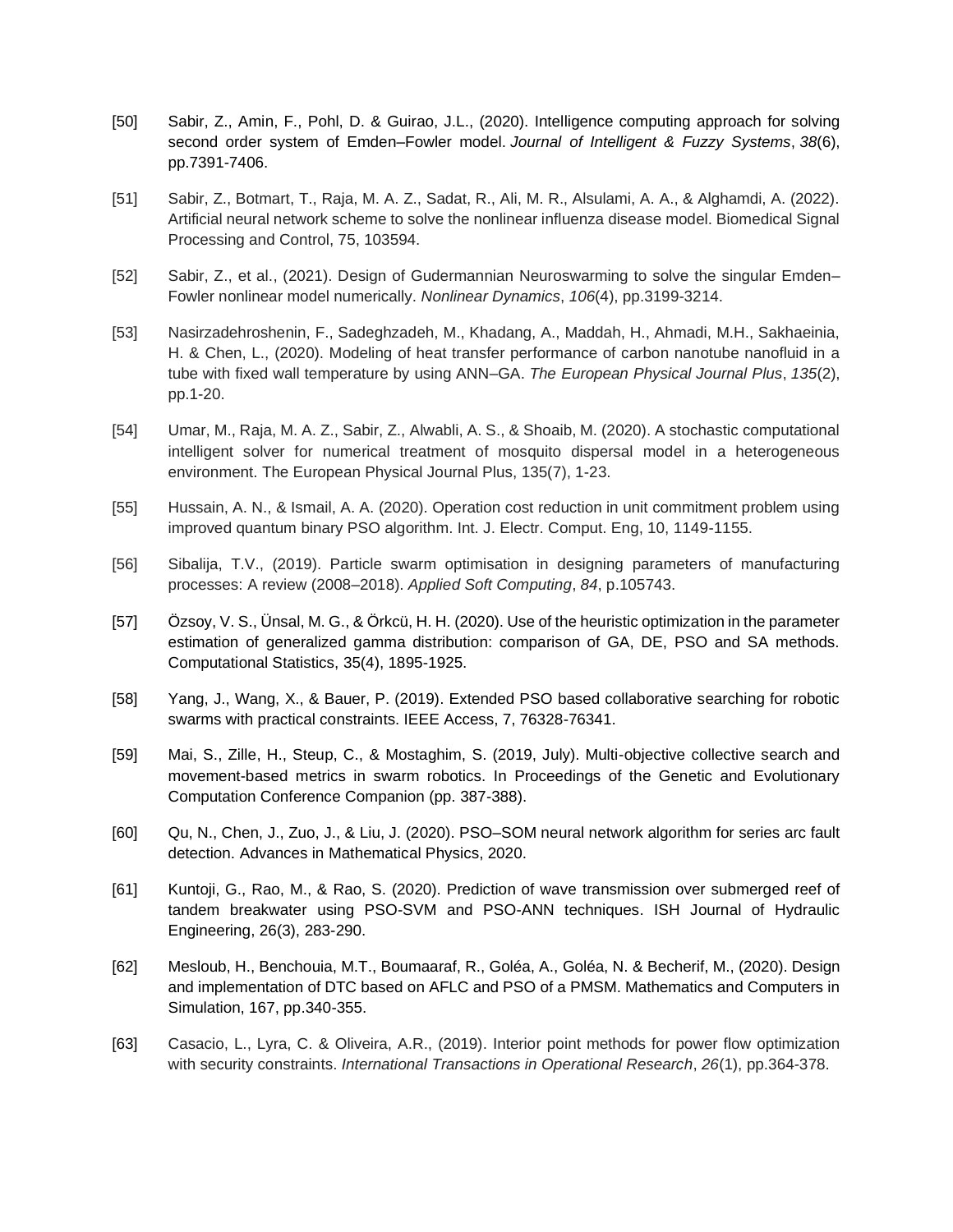- [50] Sabir, Z., Amin, F., Pohl, D. & Guirao, J.L., (2020). Intelligence computing approach for solving second order system of Emden–Fowler model. *Journal of Intelligent & Fuzzy Systems*, *38*(6), pp.7391-7406.
- [51] Sabir, Z., Botmart, T., Raja, M. A. Z., Sadat, R., Ali, M. R., Alsulami, A. A., & Alghamdi, A. (2022). Artificial neural network scheme to solve the nonlinear influenza disease model. Biomedical Signal Processing and Control, 75, 103594.
- [52] Sabir, Z., et al., (2021). Design of Gudermannian Neuroswarming to solve the singular Emden– Fowler nonlinear model numerically. *Nonlinear Dynamics*, *106*(4), pp.3199-3214.
- [53] Nasirzadehroshenin, F., Sadeghzadeh, M., Khadang, A., Maddah, H., Ahmadi, M.H., Sakhaeinia, H. & Chen, L., (2020). Modeling of heat transfer performance of carbon nanotube nanofluid in a tube with fixed wall temperature by using ANN–GA. *The European Physical Journal Plus*, *135*(2), pp.1-20.
- [54] Umar, M., Raja, M. A. Z., Sabir, Z., Alwabli, A. S., & Shoaib, M. (2020). A stochastic computational intelligent solver for numerical treatment of mosquito dispersal model in a heterogeneous environment. The European Physical Journal Plus, 135(7), 1-23.
- [55] Hussain, A. N., & Ismail, A. A. (2020). Operation cost reduction in unit commitment problem using improved quantum binary PSO algorithm. Int. J. Electr. Comput. Eng, 10, 1149-1155.
- [56] Sibalija, T.V., (2019). Particle swarm optimisation in designing parameters of manufacturing processes: A review (2008–2018). *Applied Soft Computing*, *84*, p.105743.
- [57] Özsoy, V. S., Ünsal, M. G., & Örkcü, H. H. (2020). Use of the heuristic optimization in the parameter estimation of generalized gamma distribution: comparison of GA, DE, PSO and SA methods. Computational Statistics, 35(4), 1895-1925.
- [58] Yang, J., Wang, X., & Bauer, P. (2019). Extended PSO based collaborative searching for robotic swarms with practical constraints. IEEE Access, 7, 76328-76341.
- [59] Mai, S., Zille, H., Steup, C., & Mostaghim, S. (2019, July). Multi-objective collective search and movement-based metrics in swarm robotics. In Proceedings of the Genetic and Evolutionary Computation Conference Companion (pp. 387-388).
- [60] Qu, N., Chen, J., Zuo, J., & Liu, J. (2020). PSO–SOM neural network algorithm for series arc fault detection. Advances in Mathematical Physics, 2020.
- [61] Kuntoji, G., Rao, M., & Rao, S. (2020). Prediction of wave transmission over submerged reef of tandem breakwater using PSO-SVM and PSO-ANN techniques. ISH Journal of Hydraulic Engineering, 26(3), 283-290.
- [62] Mesloub, H., Benchouia, M.T., Boumaaraf, R., Goléa, A., Goléa, N. & Becherif, M., (2020). Design and implementation of DTC based on AFLC and PSO of a PMSM. Mathematics and Computers in Simulation, 167, pp.340-355.
- [63] Casacio, L., Lyra, C. & Oliveira, A.R., (2019). Interior point methods for power flow optimization with security constraints. *International Transactions in Operational Research*, *26*(1), pp.364-378.